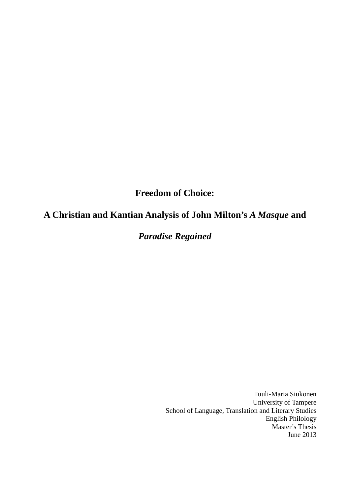# **Freedom of Choice:**

# **A Christian and Kantian Analysis of John Milton's** *A Masque* **and**

# *Paradise Regained*

Tuuli-Maria Siukonen University of Tampere School of Language, Translation and Literary Studies English Philology Master's Thesis June 2013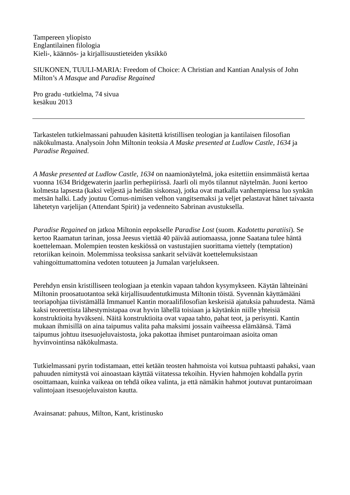Tampereen yliopisto Englantilainen filologia Kieli-, käännös- ja kirjallisuustieteiden yksikkö

SIUKONEN, TUULI-MARIA: Freedom of Choice: A Christian and Kantian Analysis of John Milton's *A Masque* and *Paradise Regained*

Pro gradu -tutkielma, 74 sivua kesäkuu 2013

Tarkastelen tutkielmassani pahuuden käsitettä kristillisen teologian ja kantilaisen filosofian näkökulmasta. Analysoin John Miltonin teoksia *A Maske presented at Ludlow Castle, 1634* ja *Paradise Regained*.

*A Maske presented at Ludlow Castle, 1634* on naamionäytelmä, joka esitettiin ensimmäistä kertaa vuonna 1634 Bridgewaterin jaarlin perhepiirissä. Jaarli oli myös tilannut näytelmän. Juoni kertoo kolmesta lapsesta (kaksi veljestä ja heidän siskonsa), jotka ovat matkalla vanhempiensa luo synkän metsän halki. Lady joutuu Comus-nimisen velhon vangitsemaksi ja veljet pelastavat hänet taivaasta lähetetyn varjelijan (Attendant Spirit) ja vedenneito Sabrinan avustuksella.

*Paradise Regained* on jatkoa Miltonin eepokselle *Paradise Lost* (suom. *Kadotettu paratiisi*). Se kertoo Raamatun tarinan, jossa Jeesus viettää 40 päivää autiomaassa, jonne Saatana tulee häntä koettelemaan. Molempien teosten keskiössä on vastustajien suorittama viettely (temptation) retoriikan keinoin. Molemmissa teoksissa sankarit selviävät koettelemuksistaan vahingoittumattomina vedoten totuuteen ja Jumalan varjelukseen.

Perehdyn ensin kristilliseen teologiaan ja etenkin vapaan tahdon kysymykseen. Käytän lähteinäni Miltonin proosatuotantoa sekä kirjallisuudentutkimusta Miltonin töistä. Syvennän käyttämääni teoriapohjaa tiivistämällä Immanuel Kantin moraalifilosofian keskeisiä ajatuksia pahuudesta. Nämä kaksi teoreettista lähestymistapaa ovat hyvin lähellä toisiaan ja käytänkin niille yhteisiä konstruktioita hyväkseni. Näitä konstruktioita ovat vapaa tahto, pahat teot, ja perisynti. Kantin mukaan ihmisillä on aina taipumus valita paha maksimi jossain vaiheessa elämäänsä. Tämä taipumus johtuu itsesuojeluvaistosta, joka pakottaa ihmiset puntaroimaan asioita oman hyvinvointinsa näkökulmasta.

Tutkielmassani pyrin todistamaan, ettei ketään teosten hahmoista voi kutsua puhtaasti pahaksi, vaan pahuuden nimitystä voi ainoastaan käyttää viitatessa tekoihin. Hyvien hahmojen kohdalla pyrin osoittamaan, kuinka vaikeaa on tehdä oikea valinta, ja että nämäkin hahmot joutuvat puntaroimaan valintojaan itsesuojeluvaiston kautta.

Avainsanat: pahuus, Milton, Kant, kristinusko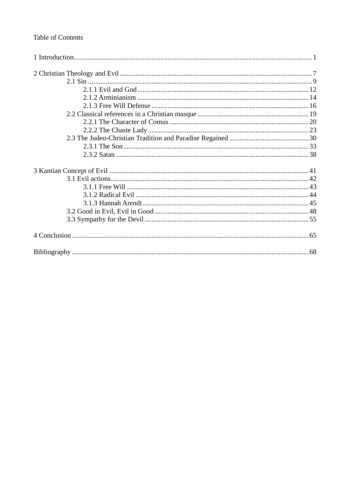## Table of Contents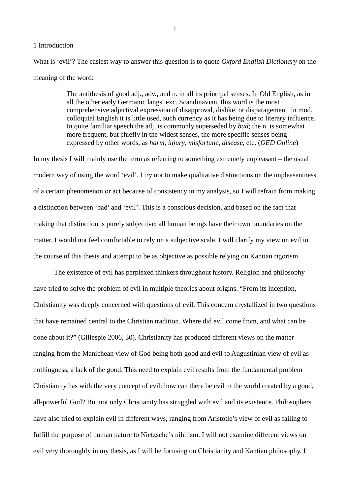## 1 Introduction

What is 'evil'? The easiest way to answer this question is to quote *Oxford English Dictionary* on the meaning of the word:

> The antithesis of good adj., adv., and n. in all its principal senses. In Old English, as in all the other early Germanic langs. exc. Scandinavian, this word is the most comprehensive adjectival expression of disapproval, dislike, or disparagement. In mod. colloquial English it is little used, such currency as it has being due to literary influence. In quite familiar speech the adj. is commonly superseded by *bad*; the n. is somewhat more frequent, but chiefly in the widest senses, the more specific senses being expressed by other words, as *harm*, *injury*, *misfortune*, *disease*, etc. (*OED Online*)

In my thesis I will mainly use the term as referring to something extremely unpleasant – the usual modern way of using the word 'evil'. I try not to make qualitative distinctions on the unpleasantness of a certain phenomenon or act because of consistency in my analysis, so I will refrain from making a distinction between 'bad' and 'evil'. This is a conscious decision, and based on the fact that making that distinction is purely subjective: all human beings have their own boundaries on the matter. I would not feel comfortable to rely on a subjective scale. I will clarify my view on evil in the course of this thesis and attempt to be as objective as possible relying on Kantian rigorism.

The existence of evil has perplexed thinkers throughout history. Religion and philosophy have tried to solve the problem of evil in multiple theories about origins. "From its inception, Christianity was deeply concerned with questions of evil. This concern crystallized in two questions that have remained central to the Christian tradition. Where did evil come from, and what can be done about it?" (Gillespie 2006, 30). Christianity has produced different views on the matter ranging from the Manichean view of God being both good and evil to Augustinian view of evil as nothingness, a lack of the good. This need to explain evil results from the fundamental problem Christianity has with the very concept of evil: how can there be evil in the world created by a good, all-powerful God? But not only Christianity has struggled with evil and its existence. Philosophers have also tried to explain evil in different ways, ranging from Aristotle's view of evil as failing to fulfill the purpose of human nature to Nietzsche's nihilism. I will not examine different views on evil very thoroughly in my thesis, as I will be focusing on Christianity and Kantian philosophy. I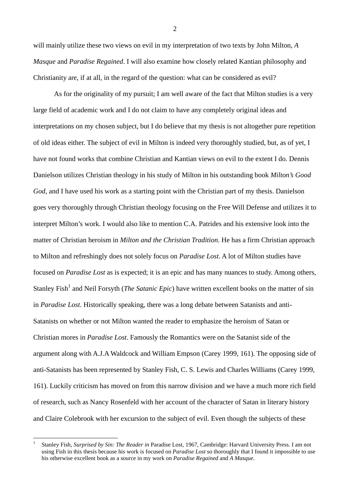will mainly utilize these two views on evil in my interpretation of two texts by John Milton, *A Masque* and *Paradise Regained*. I will also examine how closely related Kantian philosophy and Christianity are, if at all, in the regard of the question: what can be considered as evil?

As for the originality of my pursuit; I am well aware of the fact that Milton studies is a very large field of academic work and I do not claim to have any completely original ideas and interpretations on my chosen subject, but I do believe that my thesis is not altogether pure repetition of old ideas either. The subject of evil in Milton is indeed very thoroughly studied, but, as of yet, I have not found works that combine Christian and Kantian views on evil to the extent I do. Dennis Danielson utilizes Christian theology in his study of Milton in his outstanding book *Milton's Good God*, and I have used his work as a starting point with the Christian part of my thesis. Danielson goes very thoroughly through Christian theology focusing on the Free Will Defense and utilizes it to interpret Milton's work. I would also like to mention C.A. Patrides and his extensive look into the matter of Christian heroism in *Milton and the Christian Tradition*. He has a firm Christian approach to Milton and refreshingly does not solely focus on *Paradise Lost*. A lot of Milton studies have focused on *Paradise Lost* as is expected; it is an epic and has many nuances to study. Among others, Stanley Fish<sup>1</sup> and Neil Forsyth (*The Satanic Epic*) have written excellent books on the matter of sin in *Paradise Lost*. Historically speaking, there was a long debate between Satanists and anti-Satanists on whether or not Milton wanted the reader to emphasize the heroism of Satan or Christian mores in *Paradise Lost*. Famously the Romantics were on the Satanist side of the argument along with A.J.A Waldcock and William Empson (Carey 1999, 161). The opposing side of anti-Satanists has been represented by Stanley Fish, C. S. Lewis and Charles Williams (Carey 1999, 161). Luckily criticism has moved on from this narrow division and we have a much more rich field of research, such as Nancy Rosenfeld with her account of the character of Satan in literary history and Claire Colebrook with her excursion to the subject of evil. Even though the subjects of these

<sup>1</sup> Stanley Fish, *Surprised by Sin: The Reader in* Paradise Lost, 1967, Cambridge: Harvard University Press. I am not using Fish in this thesis because his work is focused on *Paradise Lost* so thoroughly that I found it impossible to use his otherwise excellent book as a source in my work on *Paradise Regained* and *A Masque*.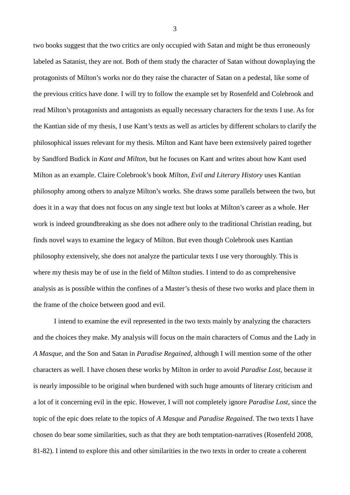two books suggest that the two critics are only occupied with Satan and might be thus erroneously labeled as Satanist, they are not. Both of them study the character of Satan without downplaying the protagonists of Milton's works nor do they raise the character of Satan on a pedestal, like some of the previous critics have done. I will try to follow the example set by Rosenfeld and Colebrook and read Milton's protagonists and antagonists as equally necessary characters for the texts I use. As for the Kantian side of my thesis, I use Kant's texts as well as articles by different scholars to clarify the philosophical issues relevant for my thesis. Milton and Kant have been extensively paired together by Sandford Budick in *Kant and Milton*, but he focuses on Kant and writes about how Kant used Milton as an example. Claire Colebrook's book *Milton, Evil and Literary History* uses Kantian philosophy among others to analyze Milton's works. She draws some parallels between the two, but does it in a way that does not focus on any single text but looks at Milton's career as a whole. Her work is indeed groundbreaking as she does not adhere only to the traditional Christian reading, but finds novel ways to examine the legacy of Milton. But even though Colebrook uses Kantian philosophy extensively, she does not analyze the particular texts I use very thoroughly. This is where my thesis may be of use in the field of Milton studies. I intend to do as comprehensive analysis as is possible within the confines of a Master's thesis of these two works and place them in the frame of the choice between good and evil.

I intend to examine the evil represented in the two texts mainly by analyzing the characters and the choices they make. My analysis will focus on the main characters of Comus and the Lady in *A Masque*, and the Son and Satan in *Paradise Regained*, although I will mention some of the other characters as well. I have chosen these works by Milton in order to avoid *Paradise Lost*, because it is nearly impossible to be original when burdened with such huge amounts of literary criticism and a lot of it concerning evil in the epic. However, I will not completely ignore *Paradise Lost*, since the topic of the epic does relate to the topics of *A Masque* and *Paradise Regained*. The two texts I have chosen do bear some similarities, such as that they are both temptation-narratives (Rosenfeld 2008, 81-82). I intend to explore this and other similarities in the two texts in order to create a coherent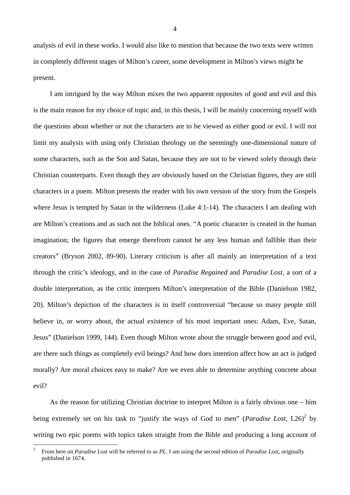analysis of evil in these works. I would also like to mention that because the two texts were written in completely different stages of Milton's career, some development in Milton's views might be present.

I am intrigued by the way Milton mixes the two apparent opposites of good and evil and this is the main reason for my choice of topic and, in this thesis, I will be mainly concerning myself with the questions about whether or not the characters are to be viewed as either good or evil. I will not limit my analysis with using only Christian theology on the seemingly one-dimensional nature of some characters, such as the Son and Satan, because they are not to be viewed solely through their Christian counterparts. Even though they are obviously based on the Christian figures, they are still characters in a poem. Milton presents the reader with his own version of the story from the Gospels where Jesus is tempted by Satan in the wilderness (Luke 4:1-14). The characters I am dealing with are Milton's creations and as such not the biblical ones. "A poetic character is created in the human imagination; the figures that emerge therefrom cannot be any less human and fallible than their creators" (Bryson 2002, 89-90). Literary criticism is after all mainly an interpretation of a text through the critic's ideology, and in the case of *Paradise Regained* and *Paradise Lost*, a sort of a double interpretation, as the critic interprets Milton's interpretation of the Bible (Danielson 1982, 20). Milton's depiction of the characters is in itself controversial "because so many people still believe in, or worry about, the actual existence of his most important ones: Adam, Eve, Satan, Jesus" (Danielson 1999, 144). Even though Milton wrote about the struggle between good and evil, are there such things as completely evil beings? And how does intention affect how an act is judged morally? Are moral choices easy to make? Are we even able to determine anything concrete about evil?

As the reason for utilizing Christian doctrine to interpret Milton is a fairly obvious one – him being extremely set on his task to "justify the ways of God to men" (*Paradise Lost*, I.26)<sup>2</sup> by writing two epic poems with topics taken straight from the Bible and producing a long account of

<sup>2</sup> From here on *Paradise Lost* will be referred to as *PL*. I am using the second edition of *Paradise Lost*, originally published in 1674.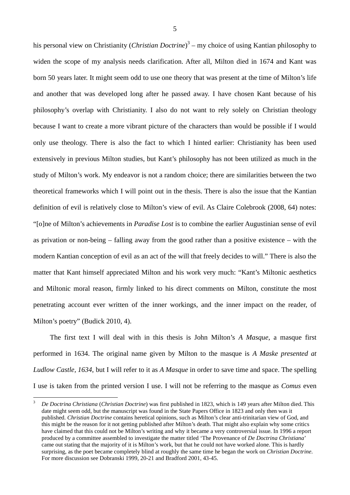his personal view on Christianity (*Christian Doctrine*) 3 – my choice of using Kantian philosophy to widen the scope of my analysis needs clarification. After all, Milton died in 1674 and Kant was born 50 years later. It might seem odd to use one theory that was present at the time of Milton's life and another that was developed long after he passed away. I have chosen Kant because of his philosophy's overlap with Christianity. I also do not want to rely solely on Christian theology because I want to create a more vibrant picture of the characters than would be possible if I would only use theology. There is also the fact to which I hinted earlier: Christianity has been used extensively in previous Milton studies, but Kant's philosophy has not been utilized as much in the study of Milton's work. My endeavor is not a random choice; there are similarities between the two theoretical frameworks which I will point out in the thesis. There is also the issue that the Kantian definition of evil is relatively close to Milton's view of evil. As Claire Colebrook (2008, 64) notes: "[o]ne of Milton's achievements in *Paradise Lost* is to combine the earlier Augustinian sense of evil as privation or non-being – falling away from the good rather than a positive existence – with the modern Kantian conception of evil as an act of the will that freely decides to will." There is also the matter that Kant himself appreciated Milton and his work very much: "Kant's Miltonic aesthetics and Miltonic moral reason, firmly linked to his direct comments on Milton, constitute the most penetrating account ever written of the inner workings, and the inner impact on the reader, of Milton's poetry" (Budick 2010, 4).

The first text I will deal with in this thesis is John Milton's *A Masque*, a masque first performed in 1634. The original name given by Milton to the masque is *A Maske presented at Ludlow Castle, 1634*, but I will refer to it as *A Masque* in order to save time and space. The spelling I use is taken from the printed version I use. I will not be referring to the masque as *Comus* even

<sup>3</sup>  *De Doctrina Christiana* (*Christian Doctrine*) was first published in 1823, which is 149 years after Milton died. This date might seem odd, but the manuscript was found in the State Papers Office in 1823 and only then was it published. *Christian Doctrine* contains heretical opinions, such as Milton's clear anti-trinitarian view of God, and this might be the reason for it not getting published after Milton's death. That might also explain why some critics have claimed that this could not be Milton's writing and why it became a very controversial issue. In 1996 a report produced by a committee assembled to investigate the matter titled 'The Provenance of *De Doctrina Christiana*' came out stating that the majority of it is Milton's work, but that he could not have worked alone. This is hardly surprising, as the poet became completely blind at roughly the same time he began the work on *Christian Doctrine*. For more discussion see Dobranski 1999, 20-21 and Bradford 2001, 43-45.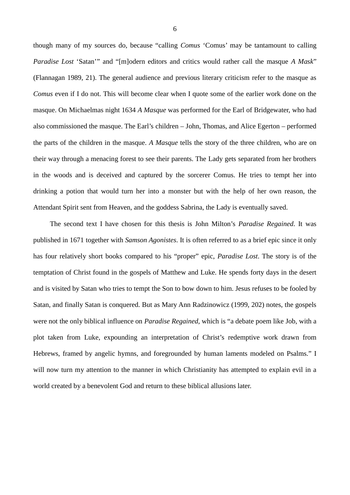though many of my sources do, because "calling *Comus* 'Comus' may be tantamount to calling *Paradise Lost* 'Satan'" and "[m]odern editors and critics would rather call the masque *A Mask*" (Flannagan 1989, 21). The general audience and previous literary criticism refer to the masque as *Comus* even if I do not. This will become clear when I quote some of the earlier work done on the masque. On Michaelmas night 1634 *A Masque* was performed for the Earl of Bridgewater, who had also commissioned the masque. The Earl's children – John, Thomas, and Alice Egerton – performed the parts of the children in the masque. *A Masque* tells the story of the three children, who are on their way through a menacing forest to see their parents. The Lady gets separated from her brothers in the woods and is deceived and captured by the sorcerer Comus. He tries to tempt her into drinking a potion that would turn her into a monster but with the help of her own reason, the Attendant Spirit sent from Heaven, and the goddess Sabrina, the Lady is eventually saved.

The second text I have chosen for this thesis is John Milton's *Paradise Regained*. It was published in 1671 together with *Samson Agonistes*. It is often referred to as a brief epic since it only has four relatively short books compared to his "proper" epic, *Paradise Lost*. The story is of the temptation of Christ found in the gospels of Matthew and Luke. He spends forty days in the desert and is visited by Satan who tries to tempt the Son to bow down to him. Jesus refuses to be fooled by Satan, and finally Satan is conquered. But as Mary Ann Radzinowicz (1999, 202) notes, the gospels were not the only biblical influence on *Paradise Regained*, which is "a debate poem like Job, with a plot taken from Luke, expounding an interpretation of Christ's redemptive work drawn from Hebrews, framed by angelic hymns, and foregrounded by human laments modeled on Psalms." I will now turn my attention to the manner in which Christianity has attempted to explain evil in a world created by a benevolent God and return to these biblical allusions later.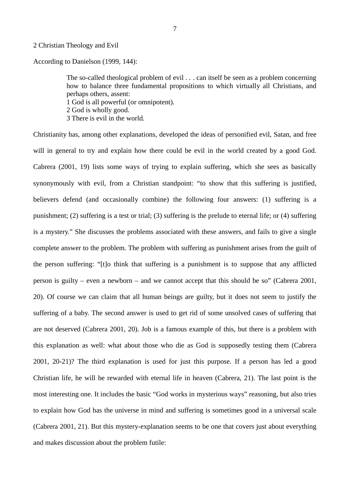#### 2 Christian Theology and Evil

According to Danielson (1999, 144):

The so-called theological problem of evil . . . can itself be seen as a problem concerning how to balance three fundamental propositions to which virtually all Christians, and perhaps others, assent: 1 God is all powerful (or omnipotent).

2 God is wholly good.

3 There is evil in the world.

Christianity has, among other explanations, developed the ideas of personified evil, Satan, and free will in general to try and explain how there could be evil in the world created by a good God. Cabrera (2001, 19) lists some ways of trying to explain suffering, which she sees as basically synonymously with evil, from a Christian standpoint: "to show that this suffering is justified, believers defend (and occasionally combine) the following four answers: (1) suffering is a punishment; (2) suffering is a test or trial; (3) suffering is the prelude to eternal life; or (4) suffering is a mystery." She discusses the problems associated with these answers, and fails to give a single complete answer to the problem. The problem with suffering as punishment arises from the guilt of the person suffering: "[t]o think that suffering is a punishment is to suppose that any afflicted person is guilty – even a newborn – and we cannot accept that this should be so" (Cabrera 2001, 20). Of course we can claim that all human beings are guilty, but it does not seem to justify the suffering of a baby. The second answer is used to get rid of some unsolved cases of suffering that are not deserved (Cabrera 2001, 20). Job is a famous example of this, but there is a problem with this explanation as well: what about those who die as God is supposedly testing them (Cabrera 2001, 20-21)? The third explanation is used for just this purpose. If a person has led a good Christian life, he will be rewarded with eternal life in heaven (Cabrera, 21). The last point is the most interesting one. It includes the basic "God works in mysterious ways" reasoning, but also tries to explain how God has the universe in mind and suffering is sometimes good in a universal scale (Cabrera 2001, 21). But this mystery-explanation seems to be one that covers just about everything and makes discussion about the problem futile: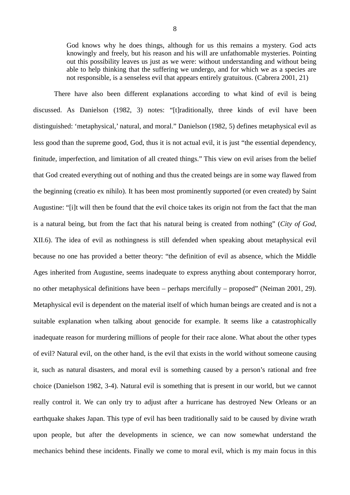God knows why he does things, although for us this remains a mystery. God acts knowingly and freely, but his reason and his will are unfathomable mysteries. Pointing out this possibility leaves us just as we were: without understanding and without being able to help thinking that the suffering we undergo, and for which we as a species are not responsible, is a senseless evil that appears entirely gratuitous. (Cabrera 2001, 21)

There have also been different explanations according to what kind of evil is being discussed. As Danielson (1982, 3) notes: "[t]raditionally, three kinds of evil have been distinguished: 'metaphysical,' natural, and moral." Danielson (1982, 5) defines metaphysical evil as less good than the supreme good, God, thus it is not actual evil, it is just "the essential dependency, finitude, imperfection, and limitation of all created things." This view on evil arises from the belief that God created everything out of nothing and thus the created beings are in some way flawed from the beginning (creatio ex nihilo). It has been most prominently supported (or even created) by Saint Augustine: "[i]t will then be found that the evil choice takes its origin not from the fact that the man is a natural being, but from the fact that his natural being is created from nothing" (*City of God*, XII.6). The idea of evil as nothingness is still defended when speaking about metaphysical evil because no one has provided a better theory: "the definition of evil as absence, which the Middle Ages inherited from Augustine, seems inadequate to express anything about contemporary horror, no other metaphysical definitions have been – perhaps mercifully – proposed" (Neiman 2001, 29). Metaphysical evil is dependent on the material itself of which human beings are created and is not a suitable explanation when talking about genocide for example. It seems like a catastrophically inadequate reason for murdering millions of people for their race alone. What about the other types of evil? Natural evil, on the other hand, is the evil that exists in the world without someone causing it, such as natural disasters, and moral evil is something caused by a person's rational and free choice (Danielson 1982, 3-4). Natural evil is something that is present in our world, but we cannot really control it. We can only try to adjust after a hurricane has destroyed New Orleans or an earthquake shakes Japan. This type of evil has been traditionally said to be caused by divine wrath upon people, but after the developments in science, we can now somewhat understand the mechanics behind these incidents. Finally we come to moral evil, which is my main focus in this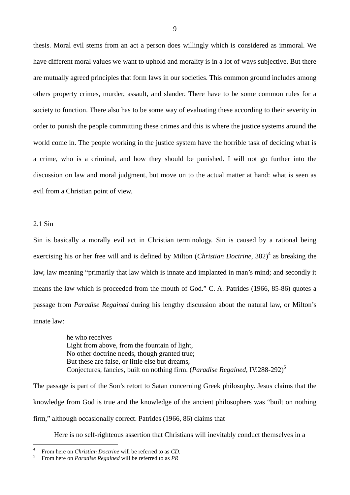thesis. Moral evil stems from an act a person does willingly which is considered as immoral. We have different moral values we want to uphold and morality is in a lot of ways subjective. But there are mutually agreed principles that form laws in our societies. This common ground includes among others property crimes, murder, assault, and slander. There have to be some common rules for a society to function. There also has to be some way of evaluating these according to their severity in order to punish the people committing these crimes and this is where the justice systems around the world come in. The people working in the justice system have the horrible task of deciding what is a crime, who is a criminal, and how they should be punished. I will not go further into the discussion on law and moral judgment, but move on to the actual matter at hand: what is seen as evil from a Christian point of view.

## 2.1 Sin

Sin is basically a morally evil act in Christian terminology. Sin is caused by a rational being exercising his or her free will and is defined by Milton (*Christian Doctrine*, 382)<sup>4</sup> as breaking the law, law meaning "primarily that law which is innate and implanted in man's mind; and secondly it means the law which is proceeded from the mouth of God." C. A. Patrides (1966, 85-86) quotes a passage from *Paradise Regained* during his lengthy discussion about the natural law, or Milton's innate law:

> he who receives Light from above, from the fountain of light, No other doctrine needs, though granted true; But these are false, or little else but dreams, Conjectures, fancies, built on nothing firm. (*Paradise Regained*, IV.288-292)<sup>5</sup>

The passage is part of the Son's retort to Satan concerning Greek philosophy. Jesus claims that the knowledge from God is true and the knowledge of the ancient philosophers was "built on nothing firm," although occasionally correct. Patrides (1966, 86) claims that

Here is no self-righteous assertion that Christians will inevitably conduct themselves in a

<sup>4</sup> From here on *Christian Doctrine* will be referred to as *CD*.

<sup>5</sup> From here on *Paradise Regained* will be referred to as *PR*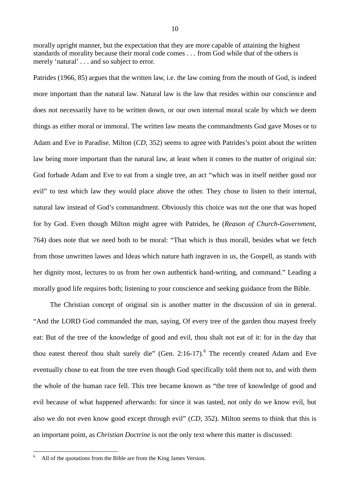morally upright manner, but the expectation that they are more capable of attaining the highest standards of morality because their moral code comes . . . from God while that of the others is merely 'natural' . . . and so subject to error.

Patrides (1966, 85) argues that the written law, i.e. the law coming from the mouth of God, is indeed more important than the natural law. Natural law is the law that resides within our conscience and does not necessarily have to be written down, or our own internal moral scale by which we deem things as either moral or immoral. The written law means the commandments God gave Moses or to Adam and Eve in Paradise. Milton (*CD*, 352) seems to agree with Patrides's point about the written law being more important than the natural law, at least when it comes to the matter of original sin: God forbade Adam and Eve to eat from a single tree, an act "which was in itself neither good nor evil" to test which law they would place above the other. They chose to listen to their internal, natural law instead of God's commandment. Obviously this choice was not the one that was hoped for by God. Even though Milton might agree with Patrides, he (*Reason of Church-Government*, 764) does note that we need both to be moral: "That which is thus morall, besides what we fetch from those unwritten lawes and Ideas which nature hath ingraven in us, the Gospell, as stands with her dignity most, lectures to us from her own authentick hand-writing, and command." Leading a morally good life requires both; listening to your conscience and seeking guidance from the Bible.

The Christian concept of original sin is another matter in the discussion of sin in general. "And the LORD God commanded the man, saying, Of every tree of the garden thou mayest freely eat: But of the tree of the knowledge of good and evil, thou shalt not eat of it: for in the day that thou eatest thereof thou shalt surely die" (Gen. 2:16-17).<sup>6</sup> The recently created Adam and Eve eventually chose to eat from the tree even though God specifically told them not to, and with them the whole of the human race fell. This tree became known as "the tree of knowledge of good and evil because of what happened afterwards: for since it was tasted, not only do we know evil, but also we do not even know good except through evil" (*CD*, 352). Milton seems to think that this is an important point, as *Christian Doctrine* is not the only text where this matter is discussed:

<sup>6</sup> All of the quotations from the Bible are from the King James Version.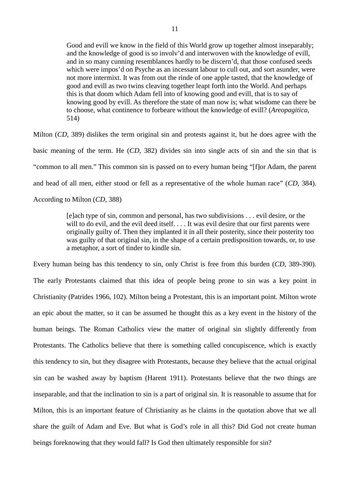Good and evill we know in the field of this World grow up together almost inseparably; and the knowledge of good is so involv'd and interwoven with the knowledge of evill, and in so many cunning resemblances hardly to be discern'd, that those confused seeds which were impos'd on Psyche as an incessant labour to cull out, and sort asunder, were not more intermixt. It was from out the rinde of one apple tasted, that the knowledge of good and evill as two twins cleaving together leapt forth into the World. And perhaps this is that doom which Adam fell into of knowing good and evill, that is to say of knowing good by evill. As therefore the state of man now is; what wisdome can there be to choose, what continence to forbeare without the knowledge of evill? (*Areopagitica*, 514)

Milton (*CD*, 389) dislikes the term original sin and protests against it, but he does agree with the basic meaning of the term. He (*CD*, 382) divides sin into single acts of sin and the sin that is "common to all men." This common sin is passed on to every human being "[f]or Adam, the parent and head of all men, either stood or fell as a representative of the whole human race" (*CD*, 384). According to Milton (*CD*, 388)

> [e]ach type of sin, common and personal, has two subdivisions . . . evil desire, or the will to do evil, and the evil deed itself. . . . It was evil desire that our first parents were originally guilty of. Then they implanted it in all their posterity, since their posterity too was guilty of that original sin, in the shape of a certain predisposition towards, or, to use a metaphor, a sort of tinder to kindle sin.

Every human being has this tendency to sin, only Christ is free from this burden (*CD*, 389-390). The early Protestants claimed that this idea of people being prone to sin was a key point in Christianity (Patrides 1966, 102). Milton being a Protestant, this is an important point. Milton wrote an epic about the matter, so it can be assumed he thought this as a key event in the history of the human beings. The Roman Catholics view the matter of original sin slightly differently from Protestants. The Catholics believe that there is something called concupiscence, which is exactly this tendency to sin, but they disagree with Protestants, because they believe that the actual original sin can be washed away by baptism (Harent 1911). Protestants believe that the two things are inseparable, and that the inclination to sin is a part of original sin. It is reasonable to assume that for Milton, this is an important feature of Christianity as he claims in the quotation above that we all share the guilt of Adam and Eve. But what is God's role in all this? Did God not create human beings foreknowing that they would fall? Is God then ultimately responsible for sin?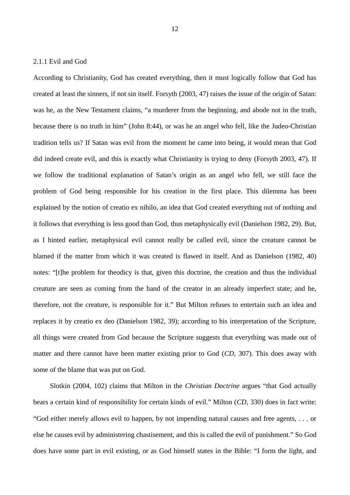## 2.1.1 Evil and God

According to Christianity, God has created everything, then it must logically follow that God has created at least the sinners, if not sin itself. Forsyth (2003, 47) raises the issue of the origin of Satan: was he, as the New Testament claims, "a murderer from the beginning, and abode not in the truth, because there is no truth in him" (John 8:44), or was he an angel who fell, like the Judeo-Christian tradition tells us? If Satan was evil from the moment he came into being, it would mean that God did indeed create evil, and this is exactly what Christianity is trying to deny (Forsyth 2003, 47). If we follow the traditional explanation of Satan's origin as an angel who fell, we still face the problem of God being responsible for his creation in the first place. This dilemma has been explained by the notion of creatio ex nihilo, an idea that God created everything out of nothing and it follows that everything is less good than God, thus metaphysically evil (Danielson 1982, 29). But, as I hinted earlier, metaphysical evil cannot really be called evil, since the creature cannot be blamed if the matter from which it was created is flawed in itself. And as Danielson (1982, 40) notes: "[t]he problem for theodicy is that, given this doctrine, the creation and thus the individual creature are seen as coming from the hand of the creator in an already imperfect state; and he, therefore, not the creature, is responsible for it." But Milton refuses to entertain such an idea and replaces it by creatio ex deo (Danielson 1982, 39); according to his interpretation of the Scripture, all things were created from God because the Scripture suggests that everything was made out of matter and there cannot have been matter existing prior to God (*CD*, 307). This does away with some of the blame that was put on God.

Slotkin (2004, 102) claims that Milton in the *Christian Doctrine* argues "that God actually bears a certain kind of responsibility for certain kinds of evil." Milton (*CD*, 330) does in fact write: "God either merely allows evil to happen, by not impending natural causes and free agents, . . . or else he causes evil by administering chastisement, and this is called the evil of punishment." So God does have some part in evil existing, or as God himself states in the Bible: "I form the light, and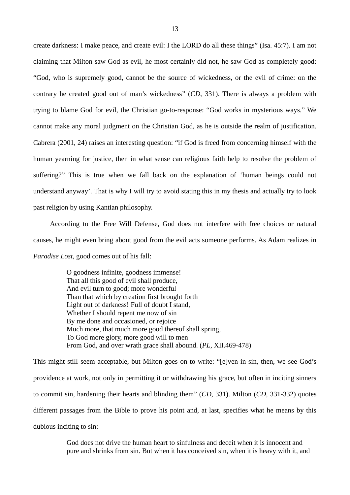create darkness: I make peace, and create evil: I the LORD do all these things" (Isa. 45:7). I am not claiming that Milton saw God as evil, he most certainly did not, he saw God as completely good: "God, who is supremely good, cannot be the source of wickedness, or the evil of crime: on the contrary he created good out of man's wickedness" (*CD*, 331). There is always a problem with trying to blame God for evil, the Christian go-to-response: "God works in mysterious ways." We cannot make any moral judgment on the Christian God, as he is outside the realm of justification. Cabrera (2001, 24) raises an interesting question: "if God is freed from concerning himself with the human yearning for justice, then in what sense can religious faith help to resolve the problem of suffering?" This is true when we fall back on the explanation of 'human beings could not understand anyway'. That is why I will try to avoid stating this in my thesis and actually try to look past religion by using Kantian philosophy.

According to the Free Will Defense, God does not interfere with free choices or natural causes, he might even bring about good from the evil acts someone performs. As Adam realizes in *Paradise Lost*, good comes out of his fall:

> O goodness infinite, goodness immense! That all this good of evil shall produce, And evil turn to good; more wonderful Than that which by creation first brought forth Light out of darkness! Full of doubt I stand, Whether I should repent me now of sin By me done and occasioned, or rejoice Much more, that much more good thereof shall spring, To God more glory, more good will to men From God, and over wrath grace shall abound. (*PL*, XII.469-478)

This might still seem acceptable, but Milton goes on to write: "[e]ven in sin, then, we see God's providence at work, not only in permitting it or withdrawing his grace, but often in inciting sinners to commit sin, hardening their hearts and blinding them" (*CD*, 331). Milton (*CD*, 331-332) quotes different passages from the Bible to prove his point and, at last, specifies what he means by this dubious inciting to sin:

> God does not drive the human heart to sinfulness and deceit when it is innocent and pure and shrinks from sin. But when it has conceived sin, when it is heavy with it, and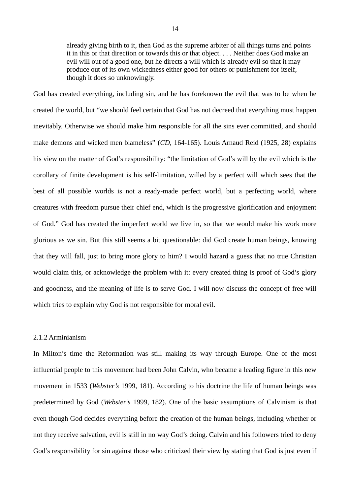already giving birth to it, then God as the supreme arbiter of all things turns and points it in this or that direction or towards this or that object. . . . Neither does God make an evil will out of a good one, but he directs a will which is already evil so that it may produce out of its own wickedness either good for others or punishment for itself, though it does so unknowingly.

God has created everything, including sin, and he has foreknown the evil that was to be when he created the world, but "we should feel certain that God has not decreed that everything must happen inevitably. Otherwise we should make him responsible for all the sins ever committed, and should make demons and wicked men blameless" (*CD*, 164-165). Louis Arnaud Reid (1925, 28) explains his view on the matter of God's responsibility: "the limitation of God's will by the evil which is the corollary of finite development is his self-limitation, willed by a perfect will which sees that the best of all possible worlds is not a ready-made perfect world, but a perfecting world, where creatures with freedom pursue their chief end, which is the progressive glorification and enjoyment of God." God has created the imperfect world we live in, so that we would make his work more glorious as we sin. But this still seems a bit questionable: did God create human beings, knowing that they will fall, just to bring more glory to him? I would hazard a guess that no true Christian would claim this, or acknowledge the problem with it: every created thing is proof of God's glory and goodness, and the meaning of life is to serve God. I will now discuss the concept of free will which tries to explain why God is not responsible for moral evil.

## 2.1.2 Arminianism

In Milton's time the Reformation was still making its way through Europe. One of the most influential people to this movement had been John Calvin, who became a leading figure in this new movement in 1533 (*Webster's* 1999, 181). According to his doctrine the life of human beings was predetermined by God (*Webster's* 1999, 182). One of the basic assumptions of Calvinism is that even though God decides everything before the creation of the human beings, including whether or not they receive salvation, evil is still in no way God's doing. Calvin and his followers tried to deny God's responsibility for sin against those who criticized their view by stating that God is just even if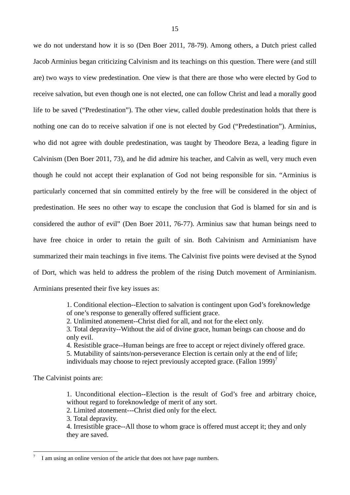we do not understand how it is so (Den Boer 2011, 78-79). Among others, a Dutch priest called Jacob Arminius began criticizing Calvinism and its teachings on this question. There were (and still are) two ways to view predestination. One view is that there are those who were elected by God to receive salvation, but even though one is not elected, one can follow Christ and lead a morally good life to be saved ("Predestination"). The other view, called double predestination holds that there is nothing one can do to receive salvation if one is not elected by God ("Predestination"). Arminius, who did not agree with double predestination, was taught by Theodore Beza, a leading figure in Calvinism (Den Boer 2011, 73), and he did admire his teacher, and Calvin as well, very much even though he could not accept their explanation of God not being responsible for sin. "Arminius is particularly concerned that sin committed entirely by the free will be considered in the object of predestination. He sees no other way to escape the conclusion that God is blamed for sin and is considered the author of evil" (Den Boer 2011, 76-77). Arminius saw that human beings need to have free choice in order to retain the guilt of sin. Both Calvinism and Arminianism have summarized their main teachings in five items. The Calvinist five points were devised at the Synod of Dort, which was held to address the problem of the rising Dutch movement of Arminianism. Arminians presented their five key issues as:

> 1. Conditional election--Election to salvation is contingent upon God's foreknowledge of one's response to generally offered sufficient grace.

2. Unlimited atonement--Christ died for all, and not for the elect only.

3. Total depravity--Without the aid of divine grace, human beings can choose and do only evil.

4. Resistible grace--Human beings are free to accept or reject divinely offered grace.

5. Mutability of saints/non-perseverance Election is certain only at the end of life;

individuals may choose to reject previously accepted grace. (Fallon 1999)<sup>7</sup>

The Calvinist points are:

1. Unconditional election--Election is the result of God's free and arbitrary choice, without regard to foreknowledge of merit of any sort.

2. Limited atonement---Christ died only for the elect.

3. Total depravity.

4. Irresistible grace--All those to whom grace is offered must accept it; they and only they are saved.

<sup>7</sup> I am using an online version of the article that does not have page numbers.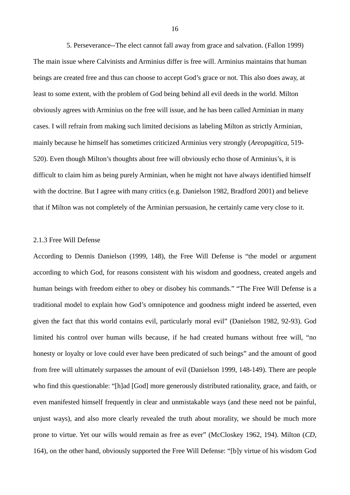5. Perseverance--The elect cannot fall away from grace and salvation. (Fallon 1999) The main issue where Calvinists and Arminius differ is free will. Arminius maintains that human beings are created free and thus can choose to accept God's grace or not. This also does away, at least to some extent, with the problem of God being behind all evil deeds in the world. Milton obviously agrees with Arminius on the free will issue, and he has been called Arminian in many cases. I will refrain from making such limited decisions as labeling Milton as strictly Arminian, mainly because he himself has sometimes criticized Arminius very strongly (*Areopagitica*, 519- 520). Even though Milton's thoughts about free will obviously echo those of Arminius's, it is difficult to claim him as being purely Arminian, when he might not have always identified himself with the doctrine. But I agree with many critics (e.g. Danielson 1982, Bradford 2001) and believe that if Milton was not completely of the Arminian persuasion, he certainly came very close to it.

#### 2.1.3 Free Will Defense

According to Dennis Danielson (1999, 148), the Free Will Defense is "the model or argument according to which God, for reasons consistent with his wisdom and goodness, created angels and human beings with freedom either to obey or disobey his commands." "The Free Will Defense is a traditional model to explain how God's omnipotence and goodness might indeed be asserted, even given the fact that this world contains evil, particularly moral evil" (Danielson 1982, 92-93). God limited his control over human wills because, if he had created humans without free will, "no honesty or loyalty or love could ever have been predicated of such beings" and the amount of good from free will ultimately surpasses the amount of evil (Danielson 1999, 148-149). There are people who find this questionable: "[h]ad [God] more generously distributed rationality, grace, and faith, or even manifested himself frequently in clear and unmistakable ways (and these need not be painful, unjust ways), and also more clearly revealed the truth about morality, we should be much more prone to virtue. Yet our wills would remain as free as ever" (McCloskey 1962, 194). Milton (*CD*, 164), on the other hand, obviously supported the Free Will Defense: "[b]y virtue of his wisdom God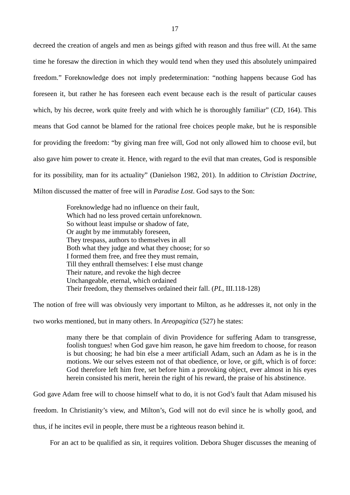decreed the creation of angels and men as beings gifted with reason and thus free will. At the same time he foresaw the direction in which they would tend when they used this absolutely unimpaired freedom." Foreknowledge does not imply predetermination: "nothing happens because God has foreseen it, but rather he has foreseen each event because each is the result of particular causes which, by his decree, work quite freely and with which he is thoroughly familiar" (*CD*, 164). This means that God cannot be blamed for the rational free choices people make, but he is responsible for providing the freedom: "by giving man free will, God not only allowed him to choose evil, but also gave him power to create it. Hence, with regard to the evil that man creates, God is responsible for its possibility, man for its actuality" (Danielson 1982, 201). In addition to *Christian Doctrine*, Milton discussed the matter of free will in *Paradise Lost*. God says to the Son:

> Foreknowledge had no influence on their fault, Which had no less proved certain unforeknown. So without least impulse or shadow of fate, Or aught by me immutably foreseen, They trespass, authors to themselves in all Both what they judge and what they choose; for so I formed them free, and free they must remain, Till they enthrall themselves: I else must change Their nature, and revoke the high decree Unchangeable, eternal, which ordained Their freedom, they themselves ordained their fall. (*PL*, III.118-128)

The notion of free will was obviously very important to Milton, as he addresses it, not only in the

two works mentioned, but in many others. In *Areopagitica* (527) he states:

many there be that complain of divin Providence for suffering Adam to transgresse, foolish tongues! when God gave him reason, he gave him freedom to choose, for reason is but choosing; he had bin else a meer artificiall Adam, such an Adam as he is in the motions. We our selves esteem not of that obedience, or love, or gift, which is of force: God therefore left him free, set before him a provoking object, ever almost in his eyes herein consisted his merit, herein the right of his reward, the praise of his abstinence.

God gave Adam free will to choose himself what to do, it is not God's fault that Adam misused his

freedom. In Christianity's view, and Milton's, God will not do evil since he is wholly good, and

thus, if he incites evil in people, there must be a righteous reason behind it.

For an act to be qualified as sin, it requires volition. Debora Shuger discusses the meaning of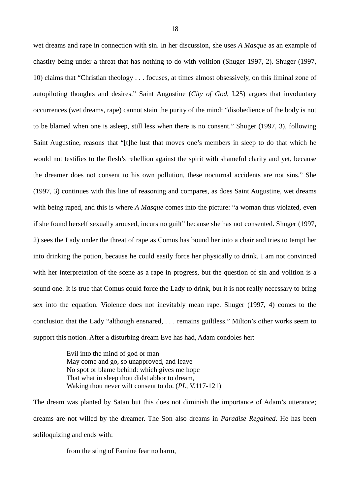wet dreams and rape in connection with sin. In her discussion, she uses *A Masque* as an example of chastity being under a threat that has nothing to do with volition (Shuger 1997, 2). Shuger (1997, 10) claims that "Christian theology . . . focuses, at times almost obsessively, on this liminal zone of autopiloting thoughts and desires." Saint Augustine (*City of God*, I.25) argues that involuntary occurrences (wet dreams, rape) cannot stain the purity of the mind: "disobedience of the body is not to be blamed when one is asleep, still less when there is no consent." Shuger (1997, 3), following Saint Augustine, reasons that "[t]he lust that moves one's members in sleep to do that which he would not testifies to the flesh's rebellion against the spirit with shameful clarity and yet, because the dreamer does not consent to his own pollution, these nocturnal accidents are not sins." She (1997, 3) continues with this line of reasoning and compares, as does Saint Augustine, wet dreams with being raped, and this is where *A Masque* comes into the picture: "a woman thus violated, even if she found herself sexually aroused, incurs no guilt" because she has not consented. Shuger (1997, 2) sees the Lady under the threat of rape as Comus has bound her into a chair and tries to tempt her into drinking the potion, because he could easily force her physically to drink. I am not convinced with her interpretation of the scene as a rape in progress, but the question of sin and volition is a sound one. It is true that Comus could force the Lady to drink, but it is not really necessary to bring sex into the equation. Violence does not inevitably mean rape. Shuger (1997, 4) comes to the conclusion that the Lady "although ensnared, . . . remains guiltless." Milton's other works seem to support this notion. After a disturbing dream Eve has had, Adam condoles her:

> Evil into the mind of god or man May come and go, so unapproved, and leave No spot or blame behind: which gives me hope That what in sleep thou didst abhor to dream, Waking thou never wilt consent to do. (*PL*, V.117-121)

The dream was planted by Satan but this does not diminish the importance of Adam's utterance; dreams are not willed by the dreamer. The Son also dreams in *Paradise Regained*. He has been soliloquizing and ends with:

from the sting of Famine fear no harm,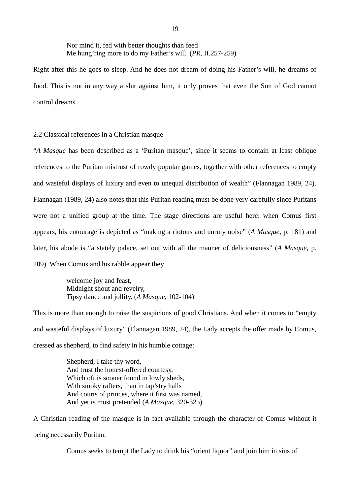Nor mind it, fed with better thoughts than feed Me hung'ring more to do my Father's will. (*PR*, II.257-259)

Right after this he goes to sleep. And he does not dream of doing his Father's will, he dreams of food. This is not in any way a slur against him, it only proves that even the Son of God cannot control dreams.

2.2 Classical references in a Christian masque

"*A Masque* has been described as a 'Puritan masque', since it seems to contain at least oblique references to the Puritan mistrust of rowdy popular games, together with other references to empty and wasteful displays of luxury and even to unequal distribution of wealth" (Flannagan 1989, 24). Flannagan (1989, 24) also notes that this Puritan reading must be done very carefully since Puritans were not a unified group at the time. The stage directions are useful here: when Comus first appears, his entourage is depicted as "making a riotous and unruly noise" (*A Masque*, p. 181) and later, his abode is "a stately palace, set out with all the manner of deliciousness" (*A Masque*, p. 209). When Comus and his rabble appear they

> welcome joy and feast, Midnight shout and revelry, Tipsy dance and jollity. (*A Masque*, 102-104)

This is more than enough to raise the suspicions of good Christians. And when it comes to "empty and wasteful displays of luxury" (Flannagan 1989, 24), the Lady accepts the offer made by Comus, dressed as shepherd, to find safety in his humble cottage:

> Shepherd, I take thy word, And trust the honest-offered courtesy, Which oft is sooner found in lowly sheds, With smoky rafters, than in tap'stry halls And courts of princes, where it first was named, And yet is most pretended (*A Masque*, 320-325)

A Christian reading of the masque is in fact available through the character of Comus without it being necessarily Puritan:

Comus seeks to tempt the Lady to drink his "orient liquor" and join him in sins of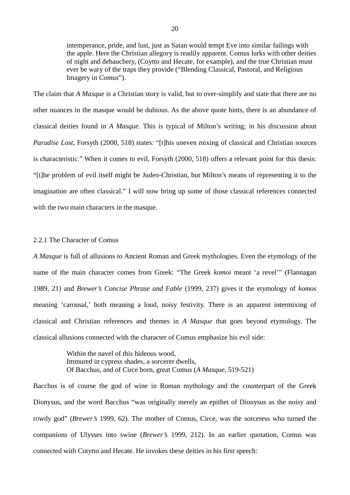intemperance, pride, and lust, just as Satan would tempt Eve into similar failings with the apple. Here the Christian allegory is readily apparent. Comus lurks with other deities of night and debauchery, (Coytto and Hecate, for example), and the true Christian must ever be wary of the traps they provide ("Blending Classical, Pastoral, and Religious Imagery in *Comus*").

The claim that *A Masque* is a Christian story is valid, but to over-simplify and state that there are no other nuances in the masque would be dubious. As the above quote hints, there is an abundance of classical deities found in *A Masque*. This is typical of Milton's writing; in his discussion about *Paradise Lost*, Forsyth (2000, 518) states: "[t]his uneven mixing of classical and Christian sources is characteristic." When it comes to evil, Forsyth (2000, 518) offers a relevant point for this thesis: "[t]he problem of evil itself might be Judeo-Christian, but Milton's means of representing it to the imagination are often classical." I will now bring up some of those classical references connected with the two main characters in the masque.

### 2.2.1 The Character of Comus

*A Masque* is full of allusions to Ancient Roman and Greek mythologies. Even the etymology of the name of the main character comes from Greek: "The Greek *komoi* meant 'a revel'" (Flannagan 1989, 21) and *Brewer's Concise Phrase and Fable* (1999, 237) gives it the etymology of *komos* meaning 'carousal,' both meaning a loud, noisy festivity. There is an apparent intermixing of classical and Christian references and themes in *A Masque* that goes beyond etymology. The classical allusions connected with the character of Comus emphasize his evil side:

> Within the navel of this hideous wood, Immured in cypress shades, a sorcerer dwells, Of Bacchus, and of Circe born, great Comus (*A Masque*, 519-521)

Bacchus is of course the god of wine in Roman mythology and the counterpart of the Greek Dionysus, and the word Bacchus "was originally merely an epithet of Dionysus as the noisy and rowdy god" (*Brewer's* 1999, 62). The mother of Comus, Circe, was the sorceress who turned the companions of Ulysses into swine (*Brewer's* 1999, 212). In an earlier quotation, Comus was connected with Cotytto and Hecate. He invokes these deities in his first speech: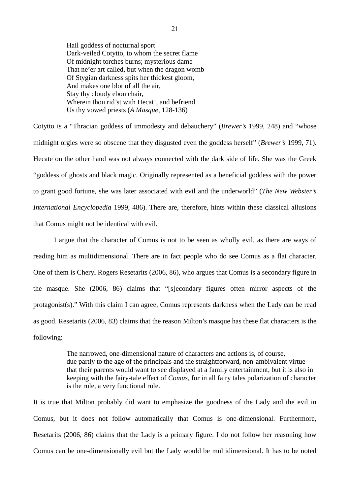Hail goddess of nocturnal sport Dark-veiled Cotytto, to whom the secret flame Of midnight torches burns; mysterious dame That ne'er art called, but when the dragon womb Of Stygian darkness spits her thickest gloom, And makes one blot of all the air, Stay thy cloudy ebon chair, Wherein thou rid'st with Hecat', and befriend Us thy vowed priests (*A Masque*, 128-136)

Cotytto is a "Thracian goddess of immodesty and debauchery" (*Brewer's* 1999, 248) and "whose midnight orgies were so obscene that they disgusted even the goddess herself" (*Brewer's* 1999, 71). Hecate on the other hand was not always connected with the dark side of life. She was the Greek "goddess of ghosts and black magic. Originally represented as a beneficial goddess with the power to grant good fortune, she was later associated with evil and the underworld" (*The New Webster's International Encyclopedia* 1999, 486). There are, therefore, hints within these classical allusions that Comus might not be identical with evil.

I argue that the character of Comus is not to be seen as wholly evil, as there are ways of reading him as multidimensional. There are in fact people who do see Comus as a flat character. One of them is Cheryl Rogers Resetarits (2006, 86), who argues that Comus is a secondary figure in the masque. She (2006, 86) claims that "[s]econdary figures often mirror aspects of the protagonist(s)." With this claim I can agree, Comus represents darkness when the Lady can be read as good. Resetarits (2006, 83) claims that the reason Milton's masque has these flat characters is the following:

> The narrowed, one-dimensional nature of characters and actions is, of course, due partly to the age of the principals and the straightforward, non-ambivalent virtue that their parents would want to see displayed at a family entertainment, but it is also in keeping with the fairy-tale effect of *Comus,* for in all fairy tales polarization of character is the rule, a very functional rule.

It is true that Milton probably did want to emphasize the goodness of the Lady and the evil in Comus, but it does not follow automatically that Comus is one-dimensional. Furthermore, Resetarits (2006, 86) claims that the Lady is a primary figure. I do not follow her reasoning how Comus can be one-dimensionally evil but the Lady would be multidimensional. It has to be noted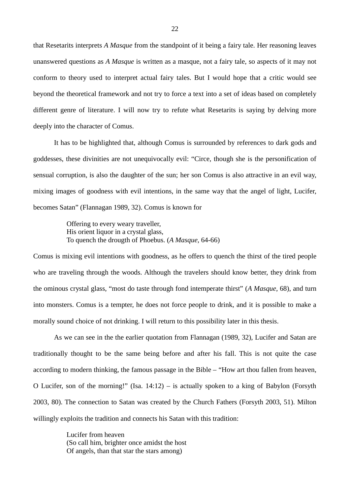that Resetarits interprets *A Masque* from the standpoint of it being a fairy tale. Her reasoning leaves unanswered questions as *A Masque* is written as a masque, not a fairy tale, so aspects of it may not conform to theory used to interpret actual fairy tales. But I would hope that a critic would see beyond the theoretical framework and not try to force a text into a set of ideas based on completely different genre of literature. I will now try to refute what Resetarits is saying by delving more deeply into the character of Comus.

It has to be highlighted that, although Comus is surrounded by references to dark gods and goddesses, these divinities are not unequivocally evil: "Circe, though she is the personification of sensual corruption, is also the daughter of the sun; her son Comus is also attractive in an evil way, mixing images of goodness with evil intentions, in the same way that the angel of light, Lucifer, becomes Satan" (Flannagan 1989, 32). Comus is known for

> Offering to every weary traveller, His orient liquor in a crystal glass, To quench the drougth of Phoebus. (*A Masque*, 64-66)

Comus is mixing evil intentions with goodness, as he offers to quench the thirst of the tired people who are traveling through the woods. Although the travelers should know better, they drink from the ominous crystal glass, "most do taste through fond intemperate thirst" (*A Masque*, 68), and turn into monsters. Comus is a tempter, he does not force people to drink, and it is possible to make a morally sound choice of not drinking. I will return to this possibility later in this thesis.

As we can see in the the earlier quotation from Flannagan (1989, 32), Lucifer and Satan are traditionally thought to be the same being before and after his fall. This is not quite the case according to modern thinking, the famous passage in the Bible – "How art thou fallen from heaven, O Lucifer, son of the morning!" (Isa. 14:12) – is actually spoken to a king of Babylon (Forsyth 2003, 80). The connection to Satan was created by the Church Fathers (Forsyth 2003, 51). Milton willingly exploits the tradition and connects his Satan with this tradition:

> Lucifer from heaven (So call him, brighter once amidst the host Of angels, than that star the stars among)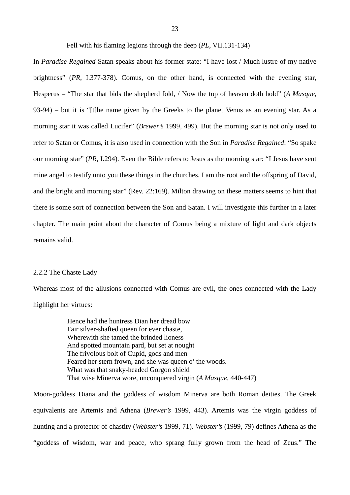In *Paradise Regained* Satan speaks about his former state: "I have lost / Much lustre of my native brightness" (*PR*, I.377-378). Comus, on the other hand, is connected with the evening star, Hesperus – "The star that bids the shepherd fold, / Now the top of heaven doth hold" (*A Masque*, 93-94) – but it is "[t]he name given by the Greeks to the planet Venus as an evening star. As a morning star it was called Lucifer" (*Brewer's* 1999, 499). But the morning star is not only used to refer to Satan or Comus, it is also used in connection with the Son in *Paradise Regained*: "So spake our morning star" (*PR*, I.294). Even the Bible refers to Jesus as the morning star: "I Jesus have sent mine angel to testify unto you these things in the churches. I am the root and the offspring of David, and the bright and morning star" (Rev. 22:169). Milton drawing on these matters seems to hint that there is some sort of connection between the Son and Satan. I will investigate this further in a later chapter. The main point about the character of Comus being a mixture of light and dark objects remains valid.

#### 2.2.2 The Chaste Lady

Whereas most of the allusions connected with Comus are evil, the ones connected with the Lady highlight her virtues:

> Hence had the huntress Dian her dread bow Fair silver-shafted queen for ever chaste, Wherewith she tamed the brinded lioness And spotted mountain pard, but set at nought The frivolous bolt of Cupid, gods and men Feared her stern frown, and she was queen o' the woods. What was that snaky-headed Gorgon shield That wise Minerva wore, unconquered virgin (*A Masque*, 440-447)

Moon-goddess Diana and the goddess of wisdom Minerva are both Roman deities. The Greek equivalents are Artemis and Athena (*Brewer's* 1999, 443). Artemis was the virgin goddess of hunting and a protector of chastity (*Webster's* 1999, 71). *Webster's* (1999, 79) defines Athena as the "goddess of wisdom, war and peace, who sprang fully grown from the head of Zeus." The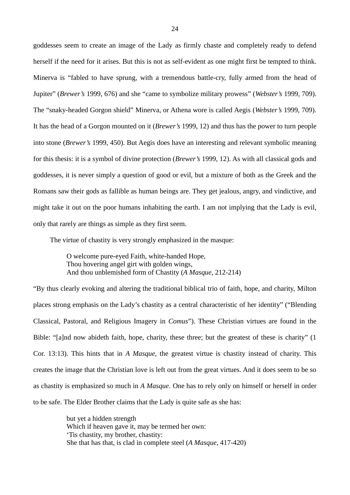goddesses seem to create an image of the Lady as firmly chaste and completely ready to defend herself if the need for it arises. But this is not as self-evident as one might first be tempted to think. Minerva is "fabled to have sprung, with a tremendous battle-cry, fully armed from the head of Jupiter" (*Brewer's* 1999, 676) and she "came to symbolize military prowess" (*Webster's* 1999, 709). The "snaky-headed Gorgon shield" Minerva, or Athena wore is called Aegis (*Webster's* 1999, 709). It has the head of a Gorgon mounted on it (*Brewer's* 1999, 12) and thus has the power to turn people into stone (*Brewer's* 1999, 450). But Aegis does have an interesting and relevant symbolic meaning for this thesis: it is a symbol of divine protection (*Brewer's* 1999, 12). As with all classical gods and goddesses, it is never simply a question of good or evil, but a mixture of both as the Greek and the Romans saw their gods as fallible as human beings are. They get jealous, angry, and vindictive, and might take it out on the poor humans inhabiting the earth. I am not implying that the Lady is evil, only that rarely are things as simple as they first seem.

The virtue of chastity is very strongly emphasized in the masque:

O welcome pure-eyed Faith, white-handed Hope, Thou hovering angel girt with golden wings, And thou unblemished form of Chastity (*A Masque*, 212-214)

"By thus clearly evoking and altering the traditional biblical trio of faith, hope, and charity, Milton places strong emphasis on the Lady's chastity as a central characteristic of her identity" ("Blending Classical, Pastoral, and Religious Imagery in *Comus*"). These Christian virtues are found in the Bible: "[a]nd now abideth faith, hope, charity, these three; but the greatest of these is charity" (1 Cor. 13:13). This hints that in *A Masque*, the greatest virtue is chastity instead of charity. This creates the image that the Christian love is left out from the great virtues. And it does seem to be so as chastity is emphasized so much in *A Masque*. One has to rely only on himself or herself in order to be safe. The Elder Brother claims that the Lady is quite safe as she has:

> but yet a hidden strength Which if heaven gave it, may be termed her own: 'Tis chastity, my brother, chastity: She that has that, is clad in complete steel (*A Masque*, 417-420)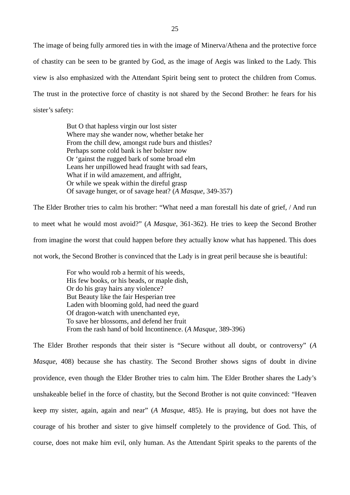The image of being fully armored ties in with the image of Minerva/Athena and the protective force of chastity can be seen to be granted by God, as the image of Aegis was linked to the Lady. This view is also emphasized with the Attendant Spirit being sent to protect the children from Comus. The trust in the protective force of chastity is not shared by the Second Brother: he fears for his sister's safety:

> But O that hapless virgin our lost sister Where may she wander now, whether betake her From the chill dew, amongst rude burs and thistles? Perhaps some cold bank is her bolster now Or 'gainst the rugged bark of some broad elm Leans her unpillowed head fraught with sad fears, What if in wild amazement, and affright, Or while we speak within the direful grasp Of savage hunger, or of savage heat? (*A Masque*, 349-357)

The Elder Brother tries to calm his brother: "What need a man forestall his date of grief, / And run to meet what he would most avoid?" (*A Masque*, 361-362). He tries to keep the Second Brother from imagine the worst that could happen before they actually know what has happened. This does not work, the Second Brother is convinced that the Lady is in great peril because she is beautiful:

> For who would rob a hermit of his weeds, His few books, or his beads, or maple dish, Or do his gray hairs any violence? But Beauty like the fair Hesperian tree Laden with blooming gold, had need the guard Of dragon-watch with unenchanted eye, To save her blossoms, and defend her fruit From the rash hand of bold Incontinence. (*A Masque*, 389-396)

The Elder Brother responds that their sister is "Secure without all doubt, or controversy" (*A Masque*, 408) because she has chastity. The Second Brother shows signs of doubt in divine providence, even though the Elder Brother tries to calm him. The Elder Brother shares the Lady's unshakeable belief in the force of chastity, but the Second Brother is not quite convinced: "Heaven keep my sister, again, again and near" (*A Masque*, 485). He is praying, but does not have the courage of his brother and sister to give himself completely to the providence of God. This, of course, does not make him evil, only human. As the Attendant Spirit speaks to the parents of the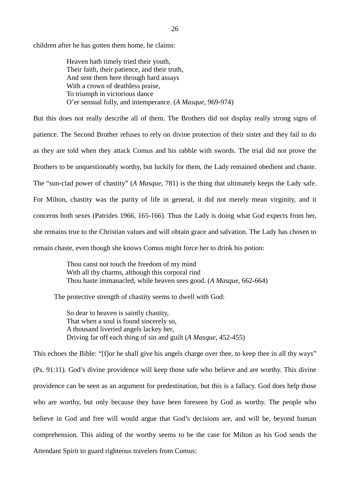children after he has gotten them home, he claims:

Heaven hath timely tried their youth, Their faith, their patience, and their truth, And sent them here through hard assays With a crown of deathless praise, To triumph in victorious dance O'er sensual folly, and intemperance. (*A Masque*, 969-974)

But this does not really describe all of them. The Brothers did not display really strong signs of patience. The Second Brother refuses to rely on divine protection of their sister and they fail to do as they are told when they attack Comus and his rabble with swords. The trial did not prove the Brothers to be unquestionably worthy, but luckily for them, the Lady remained obedient and chaste. The "sun-clad power of chastity" (*A Masque*, 781) is the thing that ultimately keeps the Lady safe. For Milton, chastity was the purity of life in general, it did not merely mean virginity, and it concerns both sexes (Patrides 1966, 165-166). Thus the Lady is doing what God expects from her, she remains true to the Christian values and will obtain grace and salvation. The Lady has chosen to remain chaste, even though she knows Comus might force her to drink his potion:

> Thou canst not touch the freedom of my mind With all thy charms, although this corporal rind Thou haste immanacled, while heaven sees good. (*A Masque*, 662-664)

The protective strength of chastity seems to dwell with God:

So dear to heaven is saintly chastity, That when a soul is found sincerely so, A thousand liveried angels lackey her, Driving far off each thing of sin and guilt (*A Masque*, 452-455)

This echoes the Bible: "[f]or he shall give his angels charge over thee, to keep thee in all thy ways" (Ps. 91:11). God's divine providence will keep those safe who believe and are worthy. This divine providence can be seen as an argument for predestination, but this is a fallacy. God does help those who are worthy, but only because they have been foreseen by God as worthy. The people who believe in God and free will would argue that God's decisions are, and will be, beyond human comprehension. This aiding of the worthy seems to be the case for Milton as his God sends the Attendant Spirit to guard righteous travelers from Comus: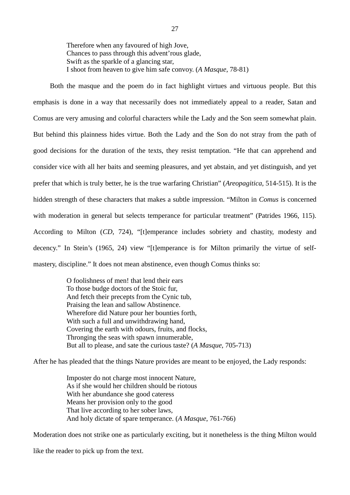Therefore when any favoured of high Jove, Chances to pass through this advent'rous glade, Swift as the sparkle of a glancing star, I shoot from heaven to give him safe convoy. (*A Masque*, 78-81)

Both the masque and the poem do in fact highlight virtues and virtuous people. But this emphasis is done in a way that necessarily does not immediately appeal to a reader, Satan and Comus are very amusing and colorful characters while the Lady and the Son seem somewhat plain. But behind this plainness hides virtue. Both the Lady and the Son do not stray from the path of good decisions for the duration of the texts, they resist temptation. "He that can apprehend and consider vice with all her baits and seeming pleasures, and yet abstain, and yet distinguish, and yet prefer that which is truly better, he is the true warfaring Christian" (*Areopagitica*, 514-515). It is the hidden strength of these characters that makes a subtle impression. "Milton in *Comus* is concerned with moderation in general but selects temperance for particular treatment" (Patrides 1966, 115). According to Milton (*CD*, 724), "[t]emperance includes sobriety and chastity, modesty and decency." In Stein's (1965, 24) view "[t]emperance is for Milton primarily the virtue of selfmastery, discipline." It does not mean abstinence, even though Comus thinks so:

> O foolishness of men! that lend their ears To those budge doctors of the Stoic fur, And fetch their precepts from the Cynic tub, Praising the lean and sallow Abstinence. Wherefore did Nature pour her bounties forth, With such a full and unwithdrawing hand, Covering the earth with odours, fruits, and flocks, Thronging the seas with spawn innumerable, But all to please, and sate the curious taste? (*A Masque*, 705-713)

After he has pleaded that the things Nature provides are meant to be enjoyed, the Lady responds:

Imposter do not charge most innocent Nature, As if she would her children should be riotous With her abundance she good cateress Means her provision only to the good That live according to her sober laws, And holy dictate of spare temperance. (*A Masque*, 761-766)

Moderation does not strike one as particularly exciting, but it nonetheless is the thing Milton would

like the reader to pick up from the text.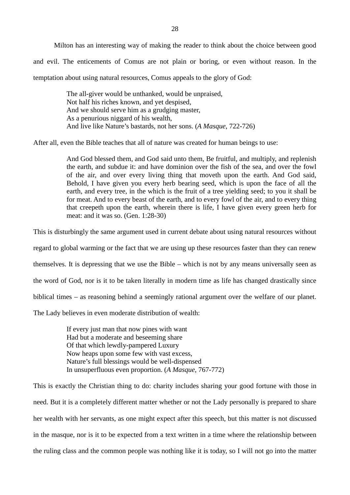Milton has an interesting way of making the reader to think about the choice between good and evil. The enticements of Comus are not plain or boring, or even without reason. In the temptation about using natural resources, Comus appeals to the glory of God:

> The all-giver would be unthanked, would be unpraised, Not half his riches known, and yet despised, And we should serve him as a grudging master, As a penurious niggard of his wealth, And live like Nature's bastards, not her sons. (*A Masque*, 722-726)

After all, even the Bible teaches that all of nature was created for human beings to use:

And God blessed them, and God said unto them, Be fruitful, and multiply, and replenish the earth, and subdue it: and have dominion over the fish of the sea, and over the fowl of the air, and over every living thing that moveth upon the earth. And God said, Behold, I have given you every herb bearing seed, which is upon the face of all the earth, and every tree, in the which is the fruit of a tree yielding seed; to you it shall be for meat. And to every beast of the earth, and to every fowl of the air, and to every thing that creepeth upon the earth, wherein there is life, I have given every green herb for meat: and it was so. (Gen. 1:28-30)

This is disturbingly the same argument used in current debate about using natural resources without

regard to global warming or the fact that we are using up these resources faster than they can renew

themselves. It is depressing that we use the Bible – which is not by any means universally seen as

the word of God, nor is it to be taken literally in modern time as life has changed drastically since

biblical times – as reasoning behind a seemingly rational argument over the welfare of our planet.

The Lady believes in even moderate distribution of wealth:

If every just man that now pines with want Had but a moderate and beseeming share Of that which lewdly-pampered Luxury Now heaps upon some few with vast excess, Nature's full blessings would be well-dispensed In unsuperfluous even proportion. (*A Masque*, 767-772)

This is exactly the Christian thing to do: charity includes sharing your good fortune with those in need. But it is a completely different matter whether or not the Lady personally is prepared to share her wealth with her servants, as one might expect after this speech, but this matter is not discussed in the masque, nor is it to be expected from a text written in a time where the relationship between the ruling class and the common people was nothing like it is today, so I will not go into the matter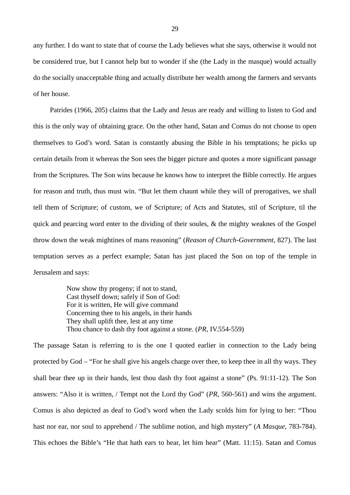any further. I do want to state that of course the Lady believes what she says, otherwise it would not be considered true, but I cannot help but to wonder if she (the Lady in the masque) would actually do the socially unacceptable thing and actually distribute her wealth among the farmers and servants of her house.

Patrides (1966, 205) claims that the Lady and Jesus are ready and willing to listen to God and this is the only way of obtaining grace. On the other hand, Satan and Comus do not choose to open themselves to God's word. Satan is constantly abusing the Bible in his temptations; he picks up certain details from it whereas the Son sees the bigger picture and quotes a more significant passage from the Scriptures. The Son wins because he knows how to interpret the Bible correctly. He argues for reason and truth, thus must win. "But let them chaunt while they will of prerogatives, we shall tell them of Scripture; of custom, we of Scripture; of Acts and Statutes, stil of Scripture, til the quick and pearcing word enter to the dividing of their soules, & the mighty weaknes of the Gospel throw down the weak mightines of mans reasoning" (*Reason of Church-Government*, 827). The last temptation serves as a perfect example; Satan has just placed the Son on top of the temple in Jerusalem and says:

> Now show thy progeny; if not to stand, Cast thyself down; safely if Son of God: For it is written, He will give command Concerning thee to his angels, in their hands They shall uplift thee, lest at any time Thou chance to dash thy foot against a stone. (*PR*, IV.554-559)

The passage Satan is referring to is the one I quoted earlier in connection to the Lady being protected by God – "For he shall give his angels charge over thee, to keep thee in all thy ways. They shall bear thee up in their hands, lest thou dash thy foot against a stone" (Ps. 91:11-12). The Son answers: "Also it is written, / Tempt not the Lord thy God" (*PR*, 560-561) and wins the argument. Comus is also depicted as deaf to God's word when the Lady scolds him for lying to her: "Thou hast nor ear, nor soul to apprehend / The sublime notion, and high mystery" (*A Masque*, 783-784). This echoes the Bible's "He that hath ears to hear, let him hear" (Matt. 11:15). Satan and Comus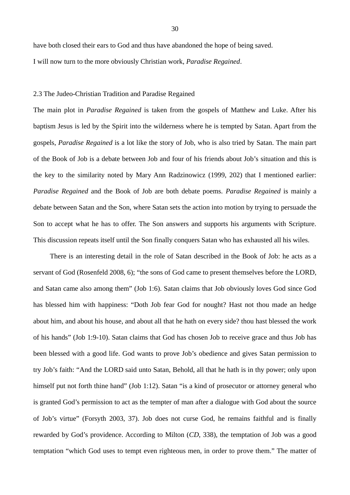have both closed their ears to God and thus have abandoned the hope of being saved.

I will now turn to the more obviously Christian work, *Paradise Regained*.

#### 2.3 The Judeo-Christian Tradition and Paradise Regained

The main plot in *Paradise Regained* is taken from the gospels of Matthew and Luke. After his baptism Jesus is led by the Spirit into the wilderness where he is tempted by Satan. Apart from the gospels, *Paradise Regained* is a lot like the story of Job, who is also tried by Satan. The main part of the Book of Job is a debate between Job and four of his friends about Job's situation and this is the key to the similarity noted by Mary Ann Radzinowicz (1999, 202) that I mentioned earlier: *Paradise Regained* and the Book of Job are both debate poems. *Paradise Regained* is mainly a debate between Satan and the Son, where Satan sets the action into motion by trying to persuade the Son to accept what he has to offer. The Son answers and supports his arguments with Scripture. This discussion repeats itself until the Son finally conquers Satan who has exhausted all his wiles.

There is an interesting detail in the role of Satan described in the Book of Job: he acts as a servant of God (Rosenfeld 2008, 6); "the sons of God came to present themselves before the LORD, and Satan came also among them" (Job 1:6). Satan claims that Job obviously loves God since God has blessed him with happiness: "Doth Job fear God for nought? Hast not thou made an hedge about him, and about his house, and about all that he hath on every side? thou hast blessed the work of his hands" (Job 1:9-10). Satan claims that God has chosen Job to receive grace and thus Job has been blessed with a good life. God wants to prove Job's obedience and gives Satan permission to try Job's faith: "And the LORD said unto Satan, Behold, all that he hath is in thy power; only upon himself put not forth thine hand" (Job 1:12). Satan "is a kind of prosecutor or attorney general who is granted God's permission to act as the tempter of man after a dialogue with God about the source of Job's virtue" (Forsyth 2003, 37). Job does not curse God, he remains faithful and is finally rewarded by God's providence. According to Milton (*CD*, 338), the temptation of Job was a good temptation "which God uses to tempt even righteous men, in order to prove them." The matter of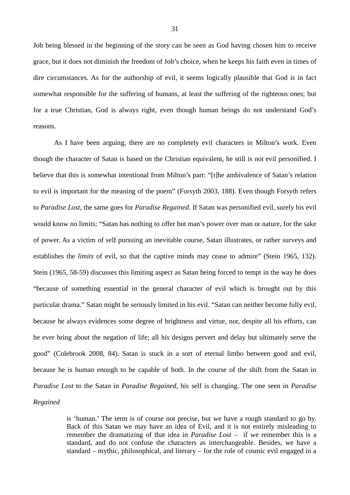Job being blessed in the beginning of the story can be seen as God having chosen him to receive grace, but it does not diminish the freedom of Job's choice, when he keeps his faith even in times of dire circumstances. As for the authorship of evil, it seems logically plausible that God is in fact somewhat responsible for the suffering of humans, at least the suffering of the righteous ones; but for a true Christian, God is always right, even though human beings do not understand God's reasons.

 As I have been arguing, there are no completely evil characters in Milton's work. Even though the character of Satan is based on the Christian equivalent, he still is not evil personified. I believe that this is somewhat intentional from Milton's part: "[t]he ambivalence of Satan's relation to evil is important for the meaning of the poem" (Forsyth 2003, 188). Even though Forsyth refers to *Paradise Lost*, the same goes for *Paradise Regained*. If Satan was personified evil, surely his evil would know no limits; "Satan has nothing to offer but man's power over man or nature, for the sake of power. As a victim of self pursuing an inevitable course, Satan illustrates, or rather surveys and establishes the *limits* of evil, so that the captive minds may cease to admire" (Stein 1965, 132). Stein (1965, 58-59) discusses this limiting aspect as Satan being forced to tempt in the way he does "because of something essential in the general character of evil which is brought out by this particular drama." Satan might be seriously limited in his evil. "Satan can neither become fully evil, because he always evidences some degree of brightness and virtue, nor, despite all his efforts, can he ever bring about the negation of life; all his designs pervert and delay but ultimately serve the good" (Colebrook 2008, 84). Satan is stuck in a sort of eternal limbo between good and evil, because he is human enough to be capable of both. In the course of the shift from the Satan in *Paradise Lost* to the Satan in *Paradise Regained*, his self is changing. The one seen in *Paradise Regained*

> is 'human.' The term is of course not precise, but we have a rough standard to go by. Back of this Satan we may have an idea of Evil, and it is not entirely misleading to remember the dramatizing of that idea in *Paradise Lost* – if we remember this is a standard, and do not confuse the characters as interchangeable. Besides, we have a standard – mythic, philosophical, and literary – for the role of cosmic evil engaged in a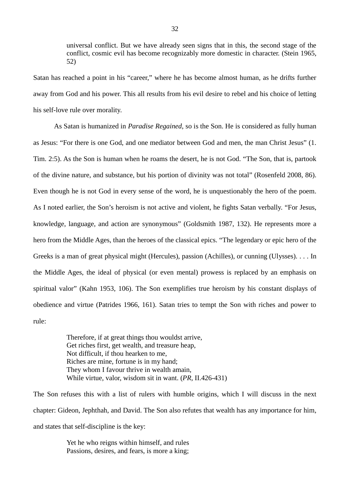universal conflict. But we have already seen signs that in this, the second stage of the conflict, cosmic evil has become recognizably more domestic in character. (Stein 1965, 52)

Satan has reached a point in his "career," where he has become almost human, as he drifts further away from God and his power. This all results from his evil desire to rebel and his choice of letting his self-love rule over morality.

As Satan is humanized in *Paradise Regained*, so is the Son. He is considered as fully human as Jesus: "For there is one God, and one mediator between God and men, the man Christ Jesus" (1. Tim. 2:5). As the Son is human when he roams the desert, he is not God. "The Son, that is, partook of the divine nature, and substance, but his portion of divinity was not total" (Rosenfeld 2008, 86). Even though he is not God in every sense of the word, he is unquestionably the hero of the poem. As I noted earlier, the Son's heroism is not active and violent, he fights Satan verbally. "For Jesus, knowledge, language, and action are synonymous" (Goldsmith 1987, 132). He represents more a hero from the Middle Ages, than the heroes of the classical epics. "The legendary or epic hero of the Greeks is a man of great physical might (Hercules), passion (Achilles), or cunning (Ulysses). . . . In the Middle Ages, the ideal of physical (or even mental) prowess is replaced by an emphasis on spiritual valor" (Kahn 1953, 106). The Son exemplifies true heroism by his constant displays of obedience and virtue (Patrides 1966, 161). Satan tries to tempt the Son with riches and power to rule:

> Therefore, if at great things thou wouldst arrive, Get riches first, get wealth, and treasure heap, Not difficult, if thou hearken to me, Riches are mine, fortune is in my hand; They whom I favour thrive in wealth amain, While virtue, valor, wisdom sit in want. (*PR*, II.426-431)

The Son refuses this with a list of rulers with humble origins, which I will discuss in the next chapter: Gideon, Jephthah, and David. The Son also refutes that wealth has any importance for him, and states that self-discipline is the key:

> Yet he who reigns within himself, and rules Passions, desires, and fears, is more a king;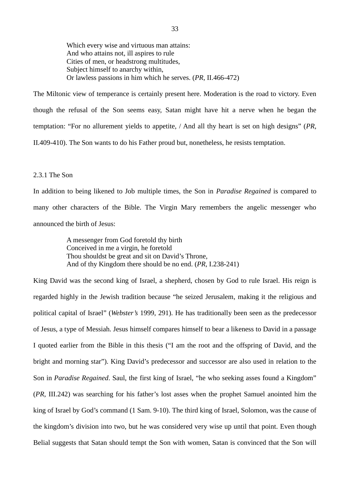Which every wise and virtuous man attains: And who attains not, ill aspires to rule Cities of men, or headstrong multitudes, Subject himself to anarchy within, Or lawless passions in him which he serves. (*PR*, II.466-472)

The Miltonic view of temperance is certainly present here. Moderation is the road to victory. Even though the refusal of the Son seems easy, Satan might have hit a nerve when he began the temptation: "For no allurement yields to appetite, / And all thy heart is set on high designs" (*PR*, II.409-410). The Son wants to do his Father proud but, nonetheless, he resists temptation.

### 2.3.1 The Son

In addition to being likened to Job multiple times, the Son in *Paradise Regained* is compared to many other characters of the Bible. The Virgin Mary remembers the angelic messenger who announced the birth of Jesus:

> A messenger from God foretold thy birth Conceived in me a virgin, he foretold Thou shouldst be great and sit on David's Throne, And of thy Kingdom there should be no end. (*PR*, I.238-241)

King David was the second king of Israel, a shepherd, chosen by God to rule Israel. His reign is regarded highly in the Jewish tradition because "he seized Jerusalem, making it the religious and political capital of Israel" (*Webster's* 1999, 291). He has traditionally been seen as the predecessor of Jesus, a type of Messiah. Jesus himself compares himself to bear a likeness to David in a passage I quoted earlier from the Bible in this thesis ("I am the root and the offspring of David, and the bright and morning star"). King David's predecessor and successor are also used in relation to the Son in *Paradise Regained*. Saul, the first king of Israel, "he who seeking asses found a Kingdom" (*PR*, III.242) was searching for his father's lost asses when the prophet Samuel anointed him the king of Israel by God's command (1 Sam. 9-10). The third king of Israel, Solomon, was the cause of the kingdom's division into two, but he was considered very wise up until that point. Even though Belial suggests that Satan should tempt the Son with women, Satan is convinced that the Son will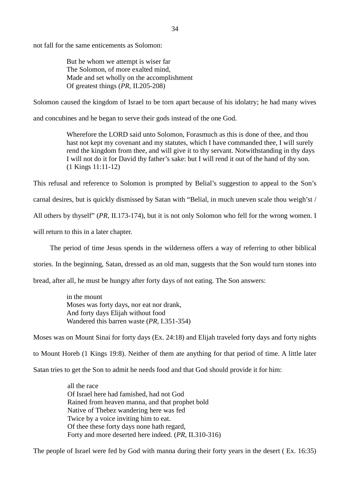not fall for the same enticements as Solomon:

But he whom we attempt is wiser far The Solomon, of more exalted mind, Made and set wholly on the accomplishment Of greatest things (*PR*, II.205-208)

Solomon caused the kingdom of Israel to be torn apart because of his idolatry; he had many wives

and concubines and he began to serve their gods instead of the one God.

Wherefore the LORD said unto Solomon, Forasmuch as this is done of thee, and thou hast not kept my covenant and my statutes, which I have commanded thee, I will surely rend the kingdom from thee, and will give it to thy servant. Notwithstanding in thy days I will not do it for David thy father's sake: but I will rend it out of the hand of thy son. (1 Kings 11:11-12)

This refusal and reference to Solomon is prompted by Belial's suggestion to appeal to the Son's

carnal desires, but is quickly dismissed by Satan with "Belial, in much uneven scale thou weigh'st /

All others by thyself" (*PR*, II.173-174), but it is not only Solomon who fell for the wrong women. I

will return to this in a later chapter.

The period of time Jesus spends in the wilderness offers a way of referring to other biblical

stories. In the beginning, Satan, dressed as an old man, suggests that the Son would turn stones into

bread, after all, he must be hungry after forty days of not eating. The Son answers:

in the mount Moses was forty days, nor eat nor drank, And forty days Elijah without food Wandered this barren waste (*PR*, I.351-354)

Moses was on Mount Sinai for forty days (Ex. 24:18) and Elijah traveled forty days and forty nights

to Mount Horeb (1 Kings 19:8). Neither of them ate anything for that period of time. A little later

Satan tries to get the Son to admit he needs food and that God should provide it for him:

all the race Of Israel here had famished, had not God Rained from heaven manna, and that prophet bold Native of Thebez wandering here was fed Twice by a voice inviting him to eat. Of thee these forty days none hath regard, Forty and more deserted here indeed. (*PR*, II.310-316)

The people of Israel were fed by God with manna during their forty years in the desert ( Ex. 16:35)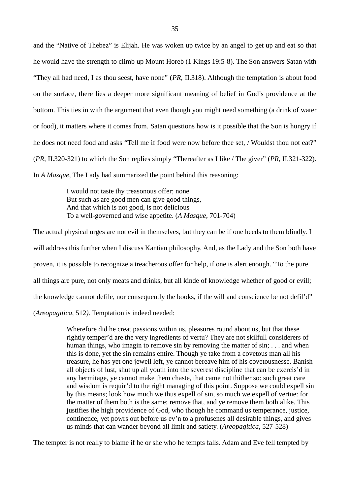and the "Native of Thebez" is Elijah. He was woken up twice by an angel to get up and eat so that he would have the strength to climb up Mount Horeb (1 Kings 19:5-8). The Son answers Satan with "They all had need, I as thou seest, have none" (*PR*, II.318). Although the temptation is about food on the surface, there lies a deeper more significant meaning of belief in God's providence at the bottom. This ties in with the argument that even though you might need something (a drink of water or food), it matters where it comes from. Satan questions how is it possible that the Son is hungry if he does not need food and asks "Tell me if food were now before thee set, / Wouldst thou not eat?" (*PR*, II.320-321) to which the Son replies simply "Thereafter as I like / The giver" (*PR*, II.321-322). In *A Masque*, The Lady had summarized the point behind this reasoning:

> I would not taste thy treasonous offer; none But such as are good men can give good things, And that which is not good, is not delicious To a well-governed and wise appetite. (*A Masque*, 701-704)

The actual physical urges are not evil in themselves, but they can be if one heeds to them blindly. I will address this further when I discuss Kantian philosophy. And, as the Lady and the Son both have proven, it is possible to recognize a treacherous offer for help, if one is alert enough. "To the pure all things are pure, not only meats and drinks, but all kinde of knowledge whether of good or evill; the knowledge cannot defile, nor consequently the books, if the will and conscience be not defil'd" (*Areopagitica*, 512*)*. Temptation is indeed needed:

> Wherefore did he creat passions within us, pleasures round about us, but that these rightly temper'd are the very ingredients of vertu? They are not skilfull considerers of human things, who imagin to remove sin by removing the matter of sin; ... and when this is done, yet the sin remains entire. Though ye take from a covetous man all his treasure, he has yet one jewell left, ye cannot bereave him of his covetousnesse. Banish all objects of lust, shut up all youth into the severest discipline that can be exercis'd in any hermitage, ye cannot make them chaste, that came not thither so: such great care and wisdom is requir'd to the right managing of this point. Suppose we could expell sin by this means; look how much we thus expell of sin, so much we expell of vertue: for the matter of them both is the same; remove that, and ye remove them both alike. This justifies the high providence of God, who though he command us temperance, justice, continence, yet powrs out before us ev'n to a profusenes all desirable things, and gives us minds that can wander beyond all limit and satiety. (*Areopagitica*, 527-528)

The tempter is not really to blame if he or she who he tempts falls. Adam and Eve fell tempted by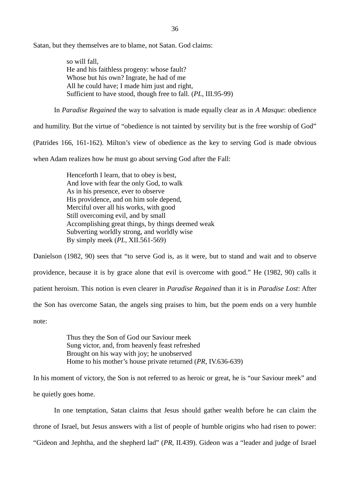Satan, but they themselves are to blame, not Satan. God claims:

so will fall, He and his faithless progeny: whose fault? Whose but his own? Ingrate, he had of me All he could have; I made him just and right, Sufficient to have stood, though free to fall. (*PL*, III.95-99)

In *Paradise Regained* the way to salvation is made equally clear as in *A Masque*: obedience

and humility. But the virtue of "obedience is not tainted by servility but is the free worship of God" (Patrides 166, 161-162). Milton's view of obedience as the key to serving God is made obvious when Adam realizes how he must go about serving God after the Fall:

> Henceforth I learn, that to obey is best, And love with fear the only God, to walk As in his presence, ever to observe His providence, and on him sole depend, Merciful over all his works, with good Still overcoming evil, and by small Accomplishing great things, by things deemed weak Subverting worldly strong, and worldly wise By simply meek (*PL*, XII.561-569)

Danielson (1982, 90) sees that "to serve God is, as it were, but to stand and wait and to observe providence, because it is by grace alone that evil is overcome with good." He (1982, 90) calls it patient heroism. This notion is even clearer in *Paradise Regained* than it is in *Paradise Lost*: After the Son has overcome Satan, the angels sing praises to him, but the poem ends on a very humble note:

> Thus they the Son of God our Saviour meek Sung victor, and, from heavenly feast refreshed Brought on his way with joy; he unobserved Home to his mother's house private returned (*PR*, IV.636-639)

In his moment of victory, the Son is not referred to as heroic or great, he is "our Saviour meek" and he quietly goes home.

In one temptation, Satan claims that Jesus should gather wealth before he can claim the throne of Israel, but Jesus answers with a list of people of humble origins who had risen to power: "Gideon and Jephtha, and the shepherd lad" (*PR*, II.439). Gideon was a "leader and judge of Israel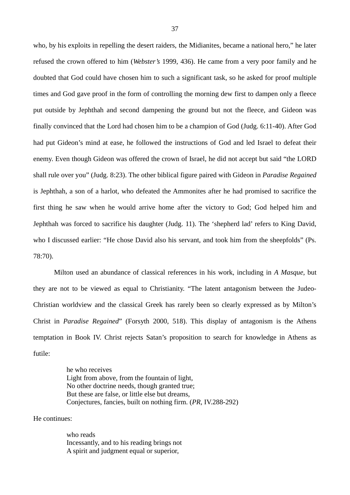who, by his exploits in repelling the desert raiders, the Midianites, became a national hero," he later refused the crown offered to him (*Webster's* 1999, 436). He came from a very poor family and he doubted that God could have chosen him to such a significant task, so he asked for proof multiple times and God gave proof in the form of controlling the morning dew first to dampen only a fleece put outside by Jephthah and second dampening the ground but not the fleece, and Gideon was finally convinced that the Lord had chosen him to be a champion of God (Judg. 6:11-40). After God had put Gideon's mind at ease, he followed the instructions of God and led Israel to defeat their enemy. Even though Gideon was offered the crown of Israel, he did not accept but said "the LORD shall rule over you" (Judg. 8:23). The other biblical figure paired with Gideon in *Paradise Regained* is Jephthah, a son of a harlot, who defeated the Ammonites after he had promised to sacrifice the first thing he saw when he would arrive home after the victory to God; God helped him and Jephthah was forced to sacrifice his daughter (Judg. 11). The 'shepherd lad' refers to King David, who I discussed earlier: "He chose David also his servant, and took him from the sheepfolds" (Ps. 78:70).

Milton used an abundance of classical references in his work, including in *A Masque*, but they are not to be viewed as equal to Christianity. "The latent antagonism between the Judeo-Christian worldview and the classical Greek has rarely been so clearly expressed as by Milton's Christ in *Paradise Regained*" (Forsyth 2000, 518). This display of antagonism is the Athens temptation in Book IV. Christ rejects Satan's proposition to search for knowledge in Athens as futile:

> he who receives Light from above, from the fountain of light, No other doctrine needs, though granted true; But these are false, or little else but dreams, Conjectures, fancies, built on nothing firm. (*PR*, IV.288-292)

He continues:

who reads Incessantly, and to his reading brings not A spirit and judgment equal or superior,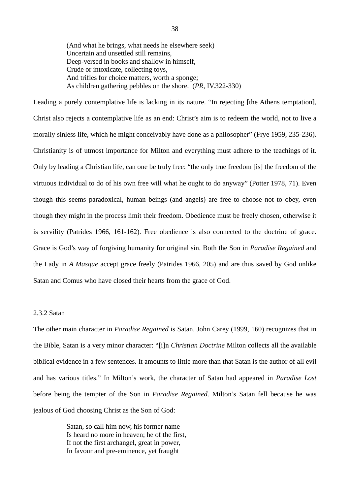(And what he brings, what needs he elsewhere seek) Uncertain and unsettled still remains, Deep-versed in books and shallow in himself, Crude or intoxicate, collecting toys, And trifles for choice matters, worth a sponge; As children gathering pebbles on the shore. (*PR*, IV.322-330)

Leading a purely contemplative life is lacking in its nature. "In rejecting [the Athens temptation], Christ also rejects a contemplative life as an end: Christ's aim is to redeem the world, not to live a morally sinless life, which he might conceivably have done as a philosopher" (Frye 1959, 235-236). Christianity is of utmost importance for Milton and everything must adhere to the teachings of it. Only by leading a Christian life, can one be truly free: "the only true freedom [is] the freedom of the virtuous individual to do of his own free will what he ought to do anyway" (Potter 1978, 71). Even though this seems paradoxical, human beings (and angels) are free to choose not to obey, even though they might in the process limit their freedom. Obedience must be freely chosen, otherwise it is servility (Patrides 1966, 161-162). Free obedience is also connected to the doctrine of grace. Grace is God's way of forgiving humanity for original sin. Both the Son in *Paradise Regained* and the Lady in *A Masque* accept grace freely (Patrides 1966, 205) and are thus saved by God unlike Satan and Comus who have closed their hearts from the grace of God.

# 2.3.2 Satan

The other main character in *Paradise Regained* is Satan. John Carey (1999, 160) recognizes that in the Bible, Satan is a very minor character: "[i]n *Christian Doctrine* Milton collects all the available biblical evidence in a few sentences. It amounts to little more than that Satan is the author of all evil and has various titles." In Milton's work, the character of Satan had appeared in *Paradise Lost* before being the tempter of the Son in *Paradise Regained*. Milton's Satan fell because he was jealous of God choosing Christ as the Son of God:

> Satan, so call him now, his former name Is heard no more in heaven; he of the first, If not the first archangel, great in power, In favour and pre-eminence, yet fraught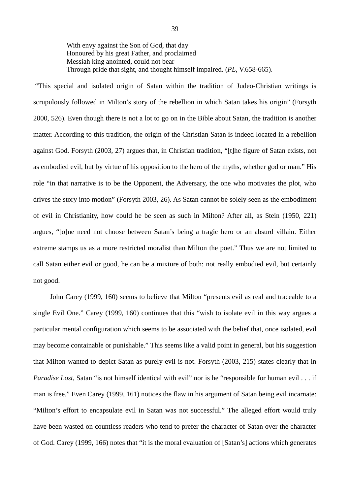With envy against the Son of God, that day Honoured by his great Father, and proclaimed Messiah king anointed, could not bear Through pride that sight, and thought himself impaired. (*PL*, V.658-665).

 "This special and isolated origin of Satan within the tradition of Judeo-Christian writings is scrupulously followed in Milton's story of the rebellion in which Satan takes his origin" (Forsyth 2000, 526). Even though there is not a lot to go on in the Bible about Satan, the tradition is another matter. According to this tradition, the origin of the Christian Satan is indeed located in a rebellion against God. Forsyth (2003, 27) argues that, in Christian tradition, "[t]he figure of Satan exists, not as embodied evil, but by virtue of his opposition to the hero of the myths, whether god or man." His role "in that narrative is to be the Opponent, the Adversary, the one who motivates the plot, who drives the story into motion" (Forsyth 2003, 26). As Satan cannot be solely seen as the embodiment of evil in Christianity, how could he be seen as such in Milton? After all, as Stein (1950, 221) argues, "[o]ne need not choose between Satan's being a tragic hero or an absurd villain. Either extreme stamps us as a more restricted moralist than Milton the poet." Thus we are not limited to call Satan either evil or good, he can be a mixture of both: not really embodied evil, but certainly not good.

John Carey (1999, 160) seems to believe that Milton "presents evil as real and traceable to a single Evil One." Carey (1999, 160) continues that this "wish to isolate evil in this way argues a particular mental configuration which seems to be associated with the belief that, once isolated, evil may become containable or punishable." This seems like a valid point in general, but his suggestion that Milton wanted to depict Satan as purely evil is not. Forsyth (2003, 215) states clearly that in *Paradise Lost*, Satan "is not himself identical with evil" nor is he "responsible for human evil . . . if man is free." Even Carey (1999, 161) notices the flaw in his argument of Satan being evil incarnate: "Milton's effort to encapsulate evil in Satan was not successful." The alleged effort would truly have been wasted on countless readers who tend to prefer the character of Satan over the character of God. Carey (1999, 166) notes that "it is the moral evaluation of [Satan's] actions which generates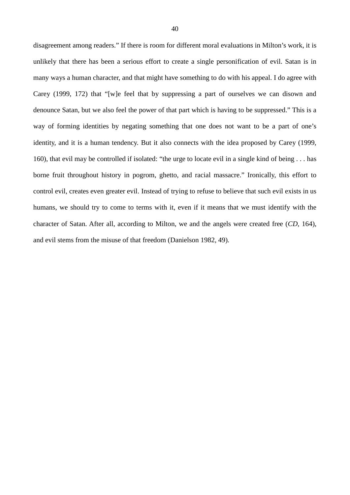disagreement among readers." If there is room for different moral evaluations in Milton's work, it is unlikely that there has been a serious effort to create a single personification of evil. Satan is in many ways a human character, and that might have something to do with his appeal. I do agree with Carey (1999, 172) that "[w]e feel that by suppressing a part of ourselves we can disown and denounce Satan, but we also feel the power of that part which is having to be suppressed." This is a way of forming identities by negating something that one does not want to be a part of one's identity, and it is a human tendency. But it also connects with the idea proposed by Carey (1999, 160), that evil may be controlled if isolated: "the urge to locate evil in a single kind of being . . . has borne fruit throughout history in pogrom, ghetto, and racial massacre." Ironically, this effort to control evil, creates even greater evil. Instead of trying to refuse to believe that such evil exists in us humans, we should try to come to terms with it, even if it means that we must identify with the character of Satan. After all, according to Milton, we and the angels were created free (*CD*, 164), and evil stems from the misuse of that freedom (Danielson 1982, 49).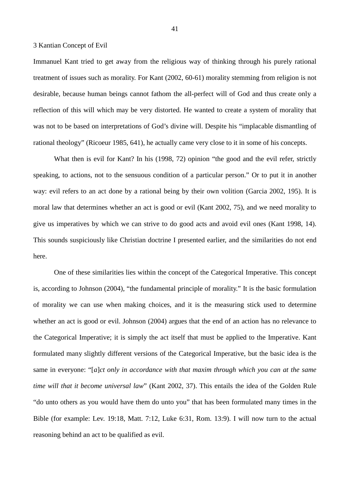## 3 Kantian Concept of Evil

Immanuel Kant tried to get away from the religious way of thinking through his purely rational treatment of issues such as morality. For Kant (2002, 60-61) morality stemming from religion is not desirable, because human beings cannot fathom the all-perfect will of God and thus create only a reflection of this will which may be very distorted. He wanted to create a system of morality that was not to be based on interpretations of God's divine will. Despite his "implacable dismantling of rational theology" (Ricoeur 1985, 641), he actually came very close to it in some of his concepts.

What then is evil for Kant? In his (1998, 72) opinion "the good and the evil refer, strictly speaking, to actions, not to the sensuous condition of a particular person." Or to put it in another way: evil refers to an act done by a rational being by their own volition (Garcia 2002, 195). It is moral law that determines whether an act is good or evil (Kant 2002, 75), and we need morality to give us imperatives by which we can strive to do good acts and avoid evil ones (Kant 1998, 14). This sounds suspiciously like Christian doctrine I presented earlier, and the similarities do not end here.

One of these similarities lies within the concept of the Categorical Imperative. This concept is, according to Johnson (2004), "the fundamental principle of morality." It is the basic formulation of morality we can use when making choices, and it is the measuring stick used to determine whether an act is good or evil. Johnson (2004) argues that the end of an action has no relevance to the Categorical Imperative; it is simply the act itself that must be applied to the Imperative. Kant formulated many slightly different versions of the Categorical Imperative, but the basic idea is the same in everyone: "[*a*]*ct only in accordance with that maxim through which you can at the same time will that it become universal law*" (Kant 2002, 37). This entails the idea of the Golden Rule "do unto others as you would have them do unto you" that has been formulated many times in the Bible (for example: Lev. 19:18, Matt. 7:12, Luke 6:31, Rom. 13:9). I will now turn to the actual reasoning behind an act to be qualified as evil.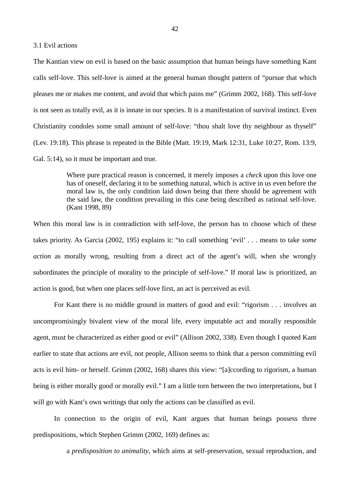#### 3.1 Evil actions

The Kantian view on evil is based on the basic assumption that human beings have something Kant calls self-love. This self-love is aimed at the general human thought pattern of "pursue that which pleases me or makes me content, and avoid that which pains me" (Grimm 2002, 168). This self-love is not seen as totally evil, as it is innate in our species. It is a manifestation of survival instinct. Even Christianity condoles some small amount of self-love: "thou shalt love thy neighbour as thyself" (Lev. 19:18). This phrase is repeated in the Bible (Matt. 19:19, Mark 12:31, Luke 10:27, Rom. 13:9, Gal. 5:14), so it must be important and true.

> Where pure practical reason is concerned, it merely imposes a *check* upon this love one has of oneself, declaring it to be something natural, which is active in us even before the moral law is, the only condition laid down being that there should be agreement with the said law, the condition prevailing in this case being described as rational self-love. (Kant 1998, 89)

When this moral law is in contradiction with self-love, the person has to choose which of these takes priority. As Garcia (2002, 195) explains it: "to call something 'evil' . . . means to take *some action* as morally wrong, resulting from a direct act of the agent's will, when she wrongly subordinates the principle of morality to the principle of self-love." If moral law is prioritized, an action is good, but when one places self-love first, an act is perceived as evil.

For Kant there is no middle ground in matters of good and evil: "rigorism . . . involves an uncompromisingly bivalent view of the moral life, every imputable act and morally responsible agent, must be characterized as either good or evil" (Allison 2002, 338). Even though I quoted Kant earlier to state that actions are evil, not people, Allison seems to think that a person committing evil acts is evil him- or herself. Grimm (2002, 168) shares this view: "[a]ccording to rigorism, a human being is either morally good or morally evil." I am a little torn between the two interpretations, but I will go with Kant's own writings that only the actions can be classified as evil.

In connection to the origin of evil, Kant argues that human beings possess three predispositions, which Stephen Grimm (2002, 169) defines as:

a *predisposition to animality*, which aims at self-preservation, sexual reproduction, and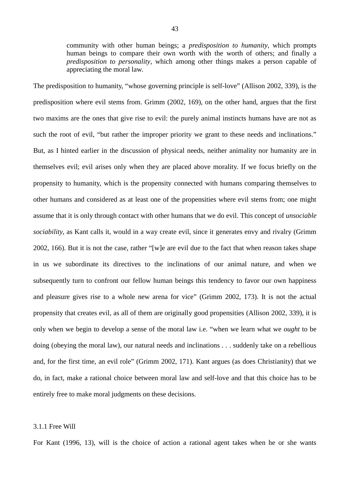community with other human beings; a *predisposition to humanity*, which prompts human beings to compare their own worth with the worth of others; and finally a *predisposition to personality*, which among other things makes a person capable of appreciating the moral law.

The predisposition to humanity, "whose governing principle is self-love" (Allison 2002, 339), is the predisposition where evil stems from. Grimm (2002, 169), on the other hand, argues that the first two maxims are the ones that give rise to evil: the purely animal instincts humans have are not as such the root of evil, "but rather the improper priority we grant to these needs and inclinations." But, as I hinted earlier in the discussion of physical needs, neither animality nor humanity are in themselves evil; evil arises only when they are placed above morality. If we focus briefly on the propensity to humanity, which is the propensity connected with humans comparing themselves to other humans and considered as at least one of the propensities where evil stems from; one might assume that it is only through contact with other humans that we do evil. This concept of *unsociable sociability*, as Kant calls it, would in a way create evil, since it generates envy and rivalry (Grimm 2002, 166). But it is not the case, rather "[w]e are evil due to the fact that when reason takes shape in us we subordinate its directives to the inclinations of our animal nature, and when we subsequently turn to confront our fellow human beings this tendency to favor our own happiness and pleasure gives rise to a whole new arena for vice" (Grimm 2002, 173). It is not the actual propensity that creates evil, as all of them are originally good propensities (Allison 2002, 339), it is only when we begin to develop a sense of the moral law i.e. "when we learn what we *ought* to be doing (obeying the moral law), our natural needs and inclinations . . . suddenly take on a rebellious and, for the first time, an evil role" (Grimm 2002, 171). Kant argues (as does Christianity) that we do, in fact, make a rational choice between moral law and self-love and that this choice has to be entirely free to make moral judgments on these decisions.

# 3.1.1 Free Will

For Kant (1996, 13), will is the choice of action a rational agent takes when he or she wants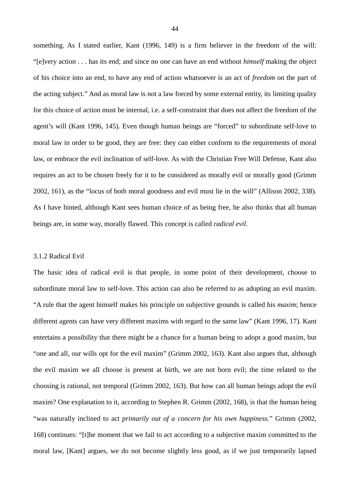something. As I stated earlier, Kant (1996, 149) is a firm believer in the freedom of the will: "[e]very action . . . has its end; and since no one can have an end without *himself* making the object of his choice into an end, to have any end of action whatsoever is an act of *freedom* on the part of the acting subject." And as moral law is not a law forced by some external entity, its limiting quality for this choice of action must be internal, i.e. a self-constraint that does not affect the freedom of the agent's will (Kant 1996, 145). Even though human beings are "forced" to subordinate self-love to moral law in order to be good, they are free: they can either conform to the requirements of moral law, or embrace the evil inclination of self-love. As with the Christian Free Will Defense, Kant also requires an act to be chosen freely for it to be considered as morally evil or morally good (Grimm 2002, 161), as the "locus of both moral goodness and evil must lie in the will" (Allison 2002, 338). As I have hinted, although Kant sees human choice of as being free, he also thinks that all human beings are, in some way, morally flawed. This concept is called *radical evil*.

#### 3.1.2 Radical Evil

The basic idea of radical evil is that people, in some point of their development, choose to subordinate moral law to self-love. This action can also be referred to as adopting an evil maxim. "A rule that the agent himself makes his principle on subjective grounds is called his *maxim*; hence different agents can have very different maxims with regard to the same law" (Kant 1996, 17). Kant entertains a possibility that there might be a chance for a human being to adopt a good maxim, but "one and all, our wills opt for the evil maxim" (Grimm 2002, 163). Kant also argues that, although the evil maxim we all choose is present at birth, we are not born evil; the time related to the choosing is rational, not temporal (Grimm 2002, 163). But how can all human beings adopt the evil maxim? One explanation to it, according to Stephen R. Grimm (2002, 168), is that the human being "was naturally inclined to act *primarily out of a concern for his own happiness.*" Grimm (2002, 168) continues: "[t]he moment that we fail to act according to a subjective maxim committed to the moral law, [Kant] argues, we do not become slightly less good, as if we just temporarily lapsed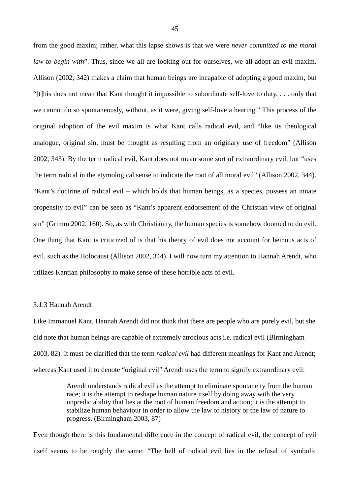from the good maxim; rather, what this lapse shows is that we were *never committed to the moral law to begin with*". Thus, since we all are looking out for ourselves, we all adopt an evil maxim. Allison (2002, 342) makes a claim that human beings are incapable of adopting a good maxim, but "[t]his does not mean that Kant thought it impossible to subordinate self-love to duty, . . . only that we cannot do so spontaneously, without, as it were, giving self-love a hearing." This process of the original adoption of the evil maxim is what Kant calls radical evil, and "like its theological analogue, original sin, must be thought as resulting from an originary use of freedom" (Allison 2002, 343). By the term radical evil, Kant does not mean some sort of extraordinary evil, but "uses the term radical in the etymological sense to indicate the root of all moral evil" (Allison 2002, 344). "Kant's doctrine of radical evil – which holds that human beings, as a species, possess an innate propensity to evil" can be seen as "Kant's apparent endorsement of the Christian view of original sin" (Grimm 2002, 160). So, as with Christianity, the human species is somehow doomed to do evil. One thing that Kant is criticized of is that his theory of evil does not account for heinous acts of evil, such as the Holocaust (Allison 2002, 344). I will now turn my attention to Hannah Arendt, who utilizes Kantian philosophy to make sense of these horrible acts of evil.

## 3.1.3 Hannah Arendt

Like Immanuel Kant, Hannah Arendt did not think that there are people who are purely evil, but she did note that human beings are capable of extremely atrocious acts i.e. radical evil (Birmingham 2003, 82). It must be clarified that the term *radical evil* had different meanings for Kant and Arendt; whereas Kant used it to denote "original evil" Arendt uses the term to signify extraordinary evil:

> Arendt understands radical evil as the attempt to eliminate spontaneity from the human race; it is the attempt to reshape human nature itself by doing away with the very unpredictability that lies at the root of human freedom and action; it is the attempt to stabilize human behaviour in order to allow the law of history or the law of nature to progress. (Birmingham 2003, 87)

Even though there is this fundamental difference in the concept of radical evil, the concept of evil itself seems to be roughly the same: "The hell of radical evil lies in the refusal of symbolic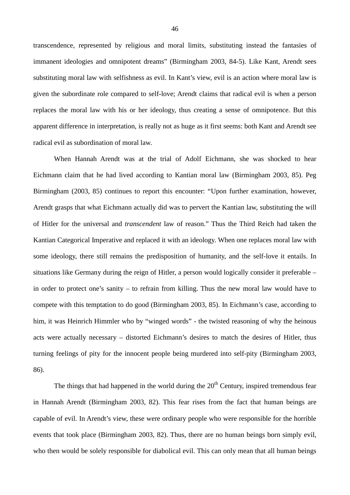transcendence, represented by religious and moral limits, substituting instead the fantasies of immanent ideologies and omnipotent dreams" (Birmingham 2003, 84-5). Like Kant, Arendt sees substituting moral law with selfishness as evil. In Kant's view, evil is an action where moral law is given the subordinate role compared to self-love; Arendt claims that radical evil is when a person replaces the moral law with his or her ideology, thus creating a sense of omnipotence. But this apparent difference in interpretation, is really not as huge as it first seems: both Kant and Arendt see radical evil as subordination of moral law.

When Hannah Arendt was at the trial of Adolf Eichmann, she was shocked to hear Eichmann claim that he had lived according to Kantian moral law (Birmingham 2003, 85). Peg Birmingham (2003, 85) continues to report this encounter: "Upon further examination, however, Arendt grasps that what Eichmann actually did was to pervert the Kantian law, substituting the will of Hitler for the universal and *transcendent* law of reason." Thus the Third Reich had taken the Kantian Categorical Imperative and replaced it with an ideology. When one replaces moral law with some ideology, there still remains the predisposition of humanity, and the self-love it entails. In situations like Germany during the reign of Hitler, a person would logically consider it preferable – in order to protect one's sanity – to refrain from killing. Thus the new moral law would have to compete with this temptation to do good (Birmingham 2003, 85). In Eichmann's case, according to him, it was Heinrich Himmler who by "winged words" - the twisted reasoning of why the heinous acts were actually necessary – distorted Eichmann's desires to match the desires of Hitler, thus turning feelings of pity for the innocent people being murdered into self-pity (Birmingham 2003, 86).

The things that had happened in the world during the  $20<sup>th</sup>$  Century, inspired tremendous fear in Hannah Arendt (Birmingham 2003, 82). This fear rises from the fact that human beings are capable of evil. In Arendt's view, these were ordinary people who were responsible for the horrible events that took place (Birmingham 2003, 82). Thus, there are no human beings born simply evil, who then would be solely responsible for diabolical evil. This can only mean that all human beings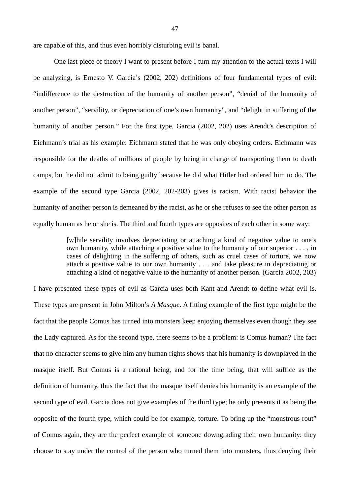are capable of this, and thus even horribly disturbing evil is banal.

One last piece of theory I want to present before I turn my attention to the actual texts I will be analyzing, is Ernesto V. Garcia's (2002, 202) definitions of four fundamental types of evil: "indifference to the destruction of the humanity of another person", "denial of the humanity of another person", "servility, or depreciation of one's own humanity", and "delight in suffering of the humanity of another person." For the first type, Garcia (2002, 202) uses Arendt's description of Eichmann's trial as his example: Eichmann stated that he was only obeying orders. Eichmann was responsible for the deaths of millions of people by being in charge of transporting them to death camps, but he did not admit to being guilty because he did what Hitler had ordered him to do. The example of the second type Garcia (2002, 202-203) gives is racism. With racist behavior the humanity of another person is demeaned by the racist, as he or she refuses to see the other person as equally human as he or she is. The third and fourth types are opposites of each other in some way:

> [w]hile servility involves depreciating or attaching a kind of negative value to one's own humanity, while attaching a positive value to the humanity of our superior . . . , in cases of delighting in the suffering of others, such as cruel cases of torture, we now attach a positive value to our own humanity . . . and take pleasure in depreciating or attaching a kind of negative value to the humanity of another person. (Garcia 2002, 203)

I have presented these types of evil as Garcia uses both Kant and Arendt to define what evil is. These types are present in John Milton's *A Masque*. A fitting example of the first type might be the fact that the people Comus has turned into monsters keep enjoying themselves even though they see the Lady captured. As for the second type, there seems to be a problem: is Comus human? The fact that no character seems to give him any human rights shows that his humanity is downplayed in the masque itself. But Comus is a rational being, and for the time being, that will suffice as the definition of humanity, thus the fact that the masque itself denies his humanity is an example of the second type of evil. Garcia does not give examples of the third type; he only presents it as being the opposite of the fourth type, which could be for example, torture. To bring up the "monstrous rout" of Comus again, they are the perfect example of someone downgrading their own humanity: they choose to stay under the control of the person who turned them into monsters, thus denying their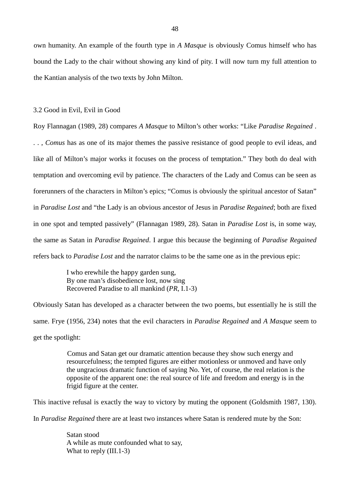own humanity. An example of the fourth type in *A Masque* is obviously Comus himself who has bound the Lady to the chair without showing any kind of pity. I will now turn my full attention to the Kantian analysis of the two texts by John Milton.

#### 3.2 Good in Evil, Evil in Good

Roy Flannagan (1989, 28) compares *A Masque* to Milton's other works: "Like *Paradise Regained* . . . , *Comus* has as one of its major themes the passive resistance of good people to evil ideas, and like all of Milton's major works it focuses on the process of temptation." They both do deal with temptation and overcoming evil by patience. The characters of the Lady and Comus can be seen as forerunners of the characters in Milton's epics; "Comus is obviously the spiritual ancestor of Satan" in *Paradise Lost* and "the Lady is an obvious ancestor of Jesus in *Paradise Regained*; both are fixed in one spot and tempted passively" (Flannagan 1989, 28). Satan in *Paradise Lost* is, in some way, the same as Satan in *Paradise Regained*. I argue this because the beginning of *Paradise Regained* refers back to *Paradise Lost* and the narrator claims to be the same one as in the previous epic:

> I who erewhile the happy garden sung, By one man's disobedience lost, now sing Recovered Paradise to all mankind (*PR*, I.1-3)

Obviously Satan has developed as a character between the two poems, but essentially he is still the same. Frye (1956, 234) notes that the evil characters in *Paradise Regained* and *A Masque* seem to get the spotlight:

> Comus and Satan get our dramatic attention because they show such energy and resourcefulness; the tempted figures are either motionless or unmoved and have only the ungracious dramatic function of saying No. Yet, of course, the real relation is the opposite of the apparent one: the real source of life and freedom and energy is in the frigid figure at the center.

This inactive refusal is exactly the way to victory by muting the opponent (Goldsmith 1987, 130).

In *Paradise Regained* there are at least two instances where Satan is rendered mute by the Son:

Satan stood A while as mute confounded what to say, What to reply (III.1-3)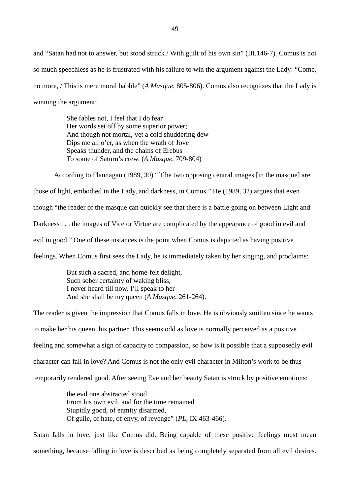and "Satan had not to answer, but stood struck / With guilt of his own sin" (III.146-7). Comus is not so much speechless as he is frustrated with his failure to win the argument against the Lady: "Come, no more, / This is mere moral babble" (*A Masque*, 805-806). Comus also recognizes that the Lady is winning the argument:

> She fables not, I feel that I do fear Her words set off by some superior power; And though not mortal, yet a cold shuddering dew Dips me all o'er, as when the wrath of Jove Speaks thunder, and the chains of Erebus To some of Saturn's crew. (*A Masque*, 709-804)

According to Flannagan (1989, 30) "[t]he two opposing central images [in the masque] are those of light, embodied in the Lady, and darkness, in Comus." He (1989, 32) argues that even though "the reader of the masque can quickly see that there is a battle going on between Light and Darkness . . . the images of Vice or Virtue are complicated by the appearance of good in evil and evil in good." One of these instances is the point when Comus is depicted as having positive feelings. When Comus first sees the Lady, he is immediately taken by her singing, and proclaims:

> But such a sacred, and home-felt delight, Such sober certainty of waking bliss, I never heard till now. I'll speak to her And she shall be my queen (*A Masque*, 261-264).

The reader is given the impression that Comus falls in love. He is obviously smitten since he wants to make her his queen, his partner. This seems odd as love is normally perceived as a positive feeling and somewhat a sign of capacity to compassion, so how is it possible that a supposedly evil character can fall in love? And Comus is not the only evil character in Milton's work to be thus temporarily rendered good. After seeing Eve and her beauty Satan is struck by positive emotions:

> the evil one abstracted stood From his own evil, and for the time remained Stupidly good, of enmity disarmed, Of guile, of hate, of envy, of revenge" (*PL*, IX.463-466).

Satan falls in love, just like Comus did. Being capable of these positive feelings must mean something, because falling in love is described as being completely separated from all evil desires.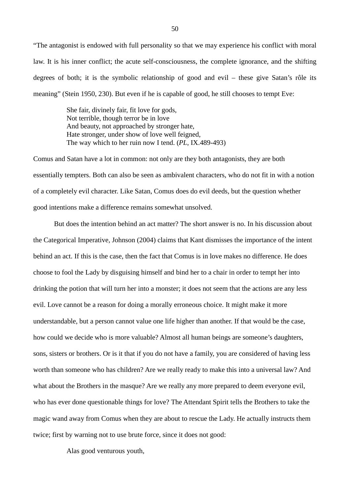"The antagonist is endowed with full personality so that we may experience his conflict with moral law. It is his inner conflict; the acute self-consciousness, the complete ignorance, and the shifting degrees of both; it is the symbolic relationship of good and evil – these give Satan's rôle its meaning" (Stein 1950, 230). But even if he is capable of good, he still chooses to tempt Eve:

> She fair, divinely fair, fit love for gods, Not terrible, though terror be in love And beauty, not approached by stronger hate, Hate stronger, under show of love well feigned, The way which to her ruin now I tend. (*PL*, IX.489-493)

Comus and Satan have a lot in common: not only are they both antagonists, they are both essentially tempters. Both can also be seen as ambivalent characters, who do not fit in with a notion of a completely evil character. Like Satan, Comus does do evil deeds, but the question whether good intentions make a difference remains somewhat unsolved.

But does the intention behind an act matter? The short answer is no. In his discussion about the Categorical Imperative, Johnson (2004) claims that Kant dismisses the importance of the intent behind an act. If this is the case, then the fact that Comus is in love makes no difference. He does choose to fool the Lady by disguising himself and bind her to a chair in order to tempt her into drinking the potion that will turn her into a monster; it does not seem that the actions are any less evil. Love cannot be a reason for doing a morally erroneous choice. It might make it more understandable, but a person cannot value one life higher than another. If that would be the case, how could we decide who is more valuable? Almost all human beings are someone's daughters, sons, sisters or brothers. Or is it that if you do not have a family, you are considered of having less worth than someone who has children? Are we really ready to make this into a universal law? And what about the Brothers in the masque? Are we really any more prepared to deem everyone evil, who has ever done questionable things for love? The Attendant Spirit tells the Brothers to take the magic wand away from Comus when they are about to rescue the Lady. He actually instructs them twice; first by warning not to use brute force, since it does not good:

Alas good venturous youth,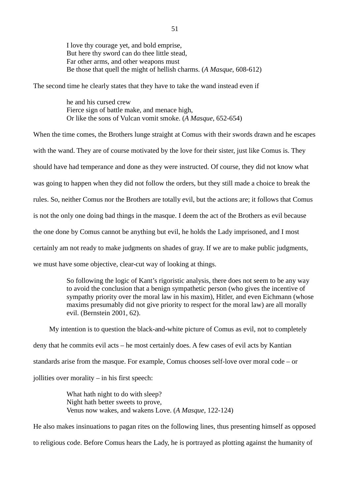I love thy courage yet, and bold emprise, But here thy sword can do thee little stead, Far other arms, and other weapons must Be those that quell the might of hellish charms. (*A Masque*, 608-612)

The second time he clearly states that they have to take the wand instead even if

he and his cursed crew Fierce sign of battle make, and menace high, Or like the sons of Vulcan vomit smoke. (*A Masque*, 652-654)

When the time comes, the Brothers lunge straight at Comus with their swords drawn and he escapes with the wand. They are of course motivated by the love for their sister, just like Comus is. They should have had temperance and done as they were instructed. Of course, they did not know what was going to happen when they did not follow the orders, but they still made a choice to break the rules. So, neither Comus nor the Brothers are totally evil, but the actions are; it follows that Comus is not the only one doing bad things in the masque. I deem the act of the Brothers as evil because the one done by Comus cannot be anything but evil, he holds the Lady imprisoned, and I most certainly am not ready to make judgments on shades of gray. If we are to make public judgments, we must have some objective, clear-cut way of looking at things.

> So following the logic of Kant's rigoristic analysis, there does not seem to be any way to avoid the conclusion that a benign sympathetic person (who gives the incentive of sympathy priority over the moral law in his maxim), Hitler, and even Eichmann (whose maxims presumably did not give priority to respect for the moral law) are all morally evil. (Bernstein 2001, 62).

My intention is to question the black-and-white picture of Comus as evil, not to completely deny that he commits evil acts – he most certainly does. A few cases of evil acts by Kantian standards arise from the masque. For example, Comus chooses self-love over moral code – or jollities over morality – in his first speech:

> What hath night to do with sleep? Night hath better sweets to prove, Venus now wakes, and wakens Love. (*A Masque*, 122-124)

He also makes insinuations to pagan rites on the following lines, thus presenting himself as opposed to religious code. Before Comus hears the Lady, he is portrayed as plotting against the humanity of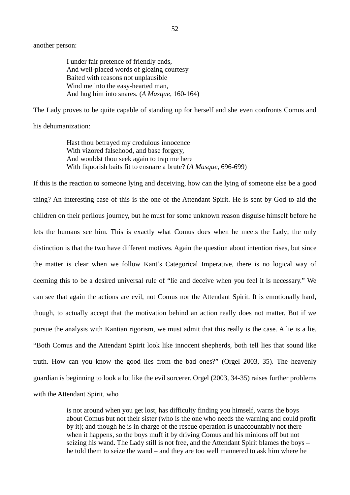I under fair pretence of friendly ends, And well-placed words of glozing courtesy Baited with reasons not unplausible Wind me into the easy-hearted man, And hug him into snares. (*A Masque*, 160-164)

The Lady proves to be quite capable of standing up for herself and she even confronts Comus and his dehumanization:

Hast thou betrayed my credulous innocence With vizored falsehood, and base forgery, And wouldst thou seek again to trap me here With liquorish baits fit to ensnare a brute? (*A Masque*, 696-699)

If this is the reaction to someone lying and deceiving, how can the lying of someone else be a good thing? An interesting case of this is the one of the Attendant Spirit. He is sent by God to aid the children on their perilous journey, but he must for some unknown reason disguise himself before he lets the humans see him. This is exactly what Comus does when he meets the Lady; the only distinction is that the two have different motives. Again the question about intention rises, but since the matter is clear when we follow Kant's Categorical Imperative, there is no logical way of deeming this to be a desired universal rule of "lie and deceive when you feel it is necessary." We can see that again the actions are evil, not Comus nor the Attendant Spirit. It is emotionally hard, though, to actually accept that the motivation behind an action really does not matter. But if we pursue the analysis with Kantian rigorism, we must admit that this really is the case. A lie is a lie. "Both Comus and the Attendant Spirit look like innocent shepherds, both tell lies that sound like truth. How can you know the good lies from the bad ones?" (Orgel 2003, 35). The heavenly guardian is beginning to look a lot like the evil sorcerer. Orgel (2003, 34-35) raises further problems with the Attendant Spirit, who

> is not around when you get lost, has difficulty finding you himself, warns the boys about Comus but not their sister (who is the one who needs the warning and could profit by it); and though he is in charge of the rescue operation is unaccountably not there when it happens, so the boys muff it by driving Comus and his minions off but not seizing his wand. The Lady still is not free, and the Attendant Spirit blames the boys – he told them to seize the wand – and they are too well mannered to ask him where he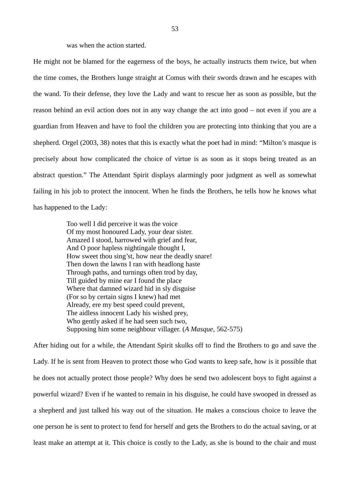was when the action started.

He might not be blamed for the eagerness of the boys, he actually instructs them twice, but when the time comes, the Brothers lunge straight at Comus with their swords drawn and he escapes with the wand. To their defense, they love the Lady and want to rescue her as soon as possible, but the reason behind an evil action does not in any way change the act into good – not even if you are a guardian from Heaven and have to fool the children you are protecting into thinking that you are a shepherd. Orgel (2003, 38) notes that this is exactly what the poet had in mind: "Milton's masque is precisely about how complicated the choice of virtue is as soon as it stops being treated as an abstract question." The Attendant Spirit displays alarmingly poor judgment as well as somewhat failing in his job to protect the innocent. When he finds the Brothers, he tells how he knows what has happened to the Lady:

> Too well I did perceive it was the voice Of my most honoured Lady, your dear sister. Amazed I stood, harrowed with grief and fear, And O poor hapless nightingale thought I, How sweet thou sing'st, how near the deadly snare! Then down the lawns I ran with headlong haste Through paths, and turnings often trod by day, Till guided by mine ear I found the place Where that damned wizard hid in sly disguise (For so by certain signs I knew) had met Already, ere my best speed could prevent, The aidless innocent Lady his wished prey, Who gently asked if he had seen such two, Supposing him some neighbour villager. (*A Masque*, 562-575)

After hiding out for a while, the Attendant Spirit skulks off to find the Brothers to go and save the Lady. If he is sent from Heaven to protect those who God wants to keep safe, how is it possible that he does not actually protect those people? Why does he send two adolescent boys to fight against a powerful wizard? Even if he wanted to remain in his disguise, he could have swooped in dressed as a shepherd and just talked his way out of the situation. He makes a conscious choice to leave the one person he is sent to protect to fend for herself and gets the Brothers to do the actual saving, or at least make an attempt at it. This choice is costly to the Lady, as she is bound to the chair and must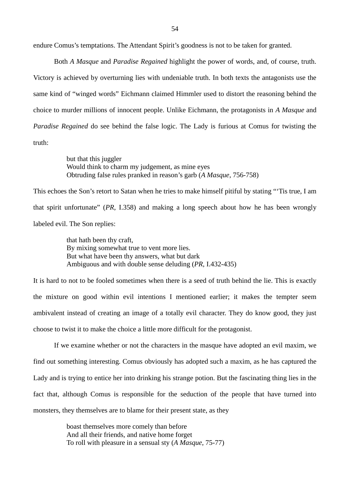endure Comus's temptations. The Attendant Spirit's goodness is not to be taken for granted.

Both *A Masque* and *Paradise Regained* highlight the power of words, and, of course, truth. Victory is achieved by overturning lies with undeniable truth. In both texts the antagonists use the same kind of "winged words" Eichmann claimed Himmler used to distort the reasoning behind the choice to murder millions of innocent people. Unlike Eichmann, the protagonists in *A Masque* and *Paradise Regained* do see behind the false logic. The Lady is furious at Comus for twisting the truth:

> but that this juggler Would think to charm my judgement, as mine eyes Obtruding false rules pranked in reason's garb (*A Masque*, 756-758)

This echoes the Son's retort to Satan when he tries to make himself pitiful by stating "'Tis true, I am that spirit unfortunate" (*PR*, I.358) and making a long speech about how he has been wrongly labeled evil. The Son replies:

> that hath been thy craft, By mixing somewhat true to vent more lies. But what have been thy answers, what but dark Ambiguous and with double sense deluding (*PR*, I.432-435)

It is hard to not to be fooled sometimes when there is a seed of truth behind the lie. This is exactly the mixture on good within evil intentions I mentioned earlier; it makes the tempter seem ambivalent instead of creating an image of a totally evil character. They do know good, they just choose to twist it to make the choice a little more difficult for the protagonist.

If we examine whether or not the characters in the masque have adopted an evil maxim, we find out something interesting. Comus obviously has adopted such a maxim, as he has captured the Lady and is trying to entice her into drinking his strange potion. But the fascinating thing lies in the fact that, although Comus is responsible for the seduction of the people that have turned into monsters, they themselves are to blame for their present state, as they

> boast themselves more comely than before And all their friends, and native home forget To roll with pleasure in a sensual sty (*A Masque*, 75-77)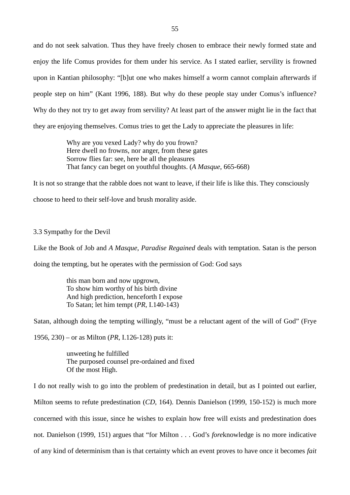and do not seek salvation. Thus they have freely chosen to embrace their newly formed state and enjoy the life Comus provides for them under his service. As I stated earlier, servility is frowned upon in Kantian philosophy: "[b]ut one who makes himself a worm cannot complain afterwards if people step on him" (Kant 1996, 188). But why do these people stay under Comus's influence? Why do they not try to get away from servility? At least part of the answer might lie in the fact that they are enjoying themselves. Comus tries to get the Lady to appreciate the pleasures in life:

> Why are you vexed Lady? why do you frown? Here dwell no frowns, nor anger, from these gates Sorrow flies far: see, here be all the pleasures That fancy can beget on youthful thoughts. (*A Masque*, 665-668)

It is not so strange that the rabble does not want to leave, if their life is like this. They consciously choose to heed to their self-love and brush morality aside.

# 3.3 Sympathy for the Devil

Like the Book of Job and *A Masque*, *Paradise Regained* deals with temptation. Satan is the person

doing the tempting, but he operates with the permission of God: God says

this man born and now upgrown, To show him worthy of his birth divine And high prediction, henceforth I expose To Satan; let him tempt (*PR*, I.140-143)

Satan, although doing the tempting willingly, "must be a reluctant agent of the will of God" (Frye

1956, 230) – or as Milton (*PR*, I.126-128) puts it:

unweeting he fulfilled The purposed counsel pre-ordained and fixed Of the most High.

I do not really wish to go into the problem of predestination in detail, but as I pointed out earlier, Milton seems to refute predestination (*CD*, 164). Dennis Danielson (1999, 150-152) is much more concerned with this issue, since he wishes to explain how free will exists and predestination does not. Danielson (1999, 151) argues that "for Milton . . . God's *fore*knowledge is no more indicative of any kind of determinism than is that certainty which an event proves to have once it becomes *fait*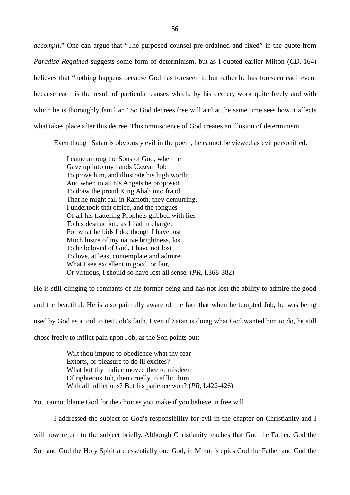*accompli*." One can argue that "The purposed counsel pre-ordained and fixed" in the quote from *Paradise Regained* suggests some form of determinism, but as I quoted earlier Milton (*CD*, 164) believes that "nothing happens because God has foreseen it, but rather he has foreseen each event because each is the result of particular causes which, by his decree, work quite freely and with which he is thoroughly familiar." So God decrees free will and at the same time sees how it affects what takes place after this decree. This omniscience of God creates an illusion of determinism.

Even though Satan is obviously evil in the poem, he cannot be viewed as evil personified.

I came among the Sons of God, when he Gave up into my hands Uzzean Job To prove him, and illustrate his high worth; And when to all his Angels he proposed To draw the proud King Ahab into fraud That he might fall in Ramoth, they demurring, I undertook that office, and the tongues Of all his flattering Prophets glibbed with lies To his destruction, as I had in charge. For what he bids I do; though I have lost Much lustre of my native brightness, lost To be beloved of God, I have not lost To love, at least contemplate and admire What I see excellent in good, or fair, Or virtuous, I should so have lost all sense. (*PR*, I.368-382)

He is still clinging to remnants of his former being and has not lost the ability to admire the good and the beautiful. He is also painfully aware of the fact that when he tempted Job, he was being used by God as a tool to test Job's faith. Even if Satan is doing what God wanted him to do, he still chose freely to inflict pain upon Job, as the Son points out:

> Wilt thou impute to obedience what thy fear Extorts, or pleasure to do ill excites? What but thy malice moved thee to misdeem Of righteous Job, then cruelly to afflict him With all inflictions? But his patience won? (*PR*, I.422-426)

You cannot blame God for the choices you make if you believe in free will.

I addressed the subject of God's responsibility for evil in the chapter on Christianity and I will now return to the subject briefly. Although Christianity teaches that God the Father, God the Son and God the Holy Spirit are essentially one God, in Milton's epics God the Father and God the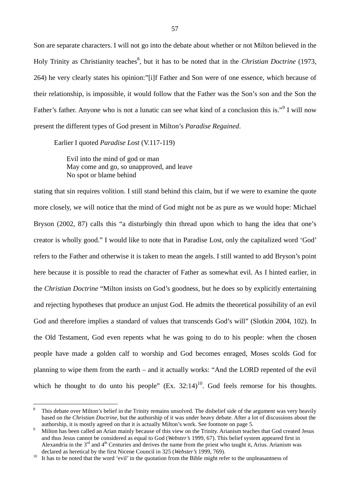Son are separate characters. I will not go into the debate about whether or not Milton believed in the Holy Trinity as Christianity teaches<sup>8</sup>, but it has to be noted that in the *Christian Doctrine* (1973, 264) he very clearly states his opinion:"[i]f Father and Son were of one essence, which because of their relationship, is impossible, it would follow that the Father was the Son's son and the Son the Father's father. Anyone who is not a lunatic can see what kind of a conclusion this is."<sup>9</sup> I will now present the different types of God present in Milton's *Paradise Regained*.

Earlier I quoted *Paradise Lost* (V.117-119)

Evil into the mind of god or man May come and go, so unapproved, and leave No spot or blame behind

stating that sin requires volition. I still stand behind this claim, but if we were to examine the quote more closely, we will notice that the mind of God might not be as pure as we would hope: Michael Bryson (2002, 87) calls this "a disturbingly thin thread upon which to hang the idea that one's creator is wholly good." I would like to note that in Paradise Lost, only the capitalized word 'God' refers to the Father and otherwise it is taken to mean the angels. I still wanted to add Bryson's point here because it is possible to read the character of Father as somewhat evil. As I hinted earlier, in the *Christian Doctrine* "Milton insists on God's goodness, but he does so by explicitly entertaining and rejecting hypotheses that produce an unjust God. He admits the theoretical possibility of an evil God and therefore implies a standard of values that transcends God's will" (Slotkin 2004, 102). In the Old Testament, God even repents what he was going to do to his people: when the chosen people have made a golden calf to worship and God becomes enraged, Moses scolds God for planning to wipe them from the earth – and it actually works: "And the LORD repented of the evil which he thought to do unto his people"  $(Ex. 32:14)^{10}$ . God feels remorse for his thoughts.

<sup>8</sup> This debate over Milton's belief in the Trinity remains unsolved. The disbelief side of the argument was very heavily based on the *Christian Doctrine*, but the authorship of it was under heavy debate. After a lot of discussions about the authorship, it is mostly agreed on that it is actually Milton's work. See footnote on page 5.

<sup>9</sup> Milton has been called an Arian mainly because of this view on the Trinity. Arianism teaches that God created Jesus and thus Jesus cannot be considered as equal to God (*Webster's* 1999, 67). This belief system appeared first in Alexandria in the  $3<sup>rd</sup>$  and  $4<sup>th</sup>$  Centuries and derives the name from the priest who taught it, Arius. Arianism was declared as heretical by the first Nicene Council in 325 (*Webster's* 1999, 769).

<sup>&</sup>lt;sup>10</sup> It has to be noted that the word 'evil' in the quotation from the Bible might refer to the unpleasantness of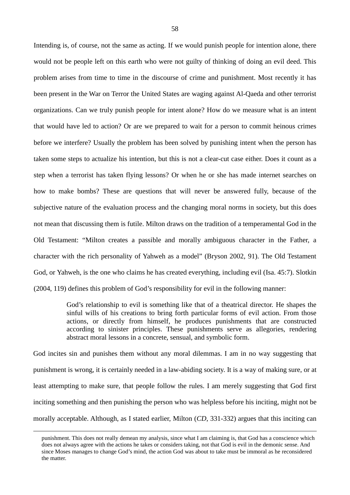Intending is, of course, not the same as acting. If we would punish people for intention alone, there would not be people left on this earth who were not guilty of thinking of doing an evil deed. This problem arises from time to time in the discourse of crime and punishment. Most recently it has been present in the War on Terror the United States are waging against Al-Qaeda and other terrorist organizations. Can we truly punish people for intent alone? How do we measure what is an intent that would have led to action? Or are we prepared to wait for a person to commit heinous crimes before we interfere? Usually the problem has been solved by punishing intent when the person has taken some steps to actualize his intention, but this is not a clear-cut case either. Does it count as a step when a terrorist has taken flying lessons? Or when he or she has made internet searches on how to make bombs? These are questions that will never be answered fully, because of the subjective nature of the evaluation process and the changing moral norms in society, but this does not mean that discussing them is futile. Milton draws on the tradition of a temperamental God in the Old Testament: "Milton creates a passible and morally ambiguous character in the Father, a character with the rich personality of Yahweh as a model" (Bryson 2002, 91). The Old Testament God, or Yahweh, is the one who claims he has created everything, including evil (Isa. 45:7). Slotkin (2004, 119) defines this problem of God's responsibility for evil in the following manner:

> God's relationship to evil is something like that of a theatrical director. He shapes the sinful wills of his creations to bring forth particular forms of evil action. From those actions, or directly from himself, he produces punishments that are constructed according to sinister principles. These punishments serve as allegories, rendering abstract moral lessons in a concrete, sensual, and symbolic form.

God incites sin and punishes them without any moral dilemmas. I am in no way suggesting that punishment is wrong, it is certainly needed in a law-abiding society. It is a way of making sure, or at least attempting to make sure, that people follow the rules. I am merely suggesting that God first inciting something and then punishing the person who was helpless before his inciting, might not be morally acceptable. Although, as I stated earlier, Milton (*CD*, 331-332) argues that this inciting can

punishment. This does not really demean my analysis, since what I am claiming is, that God has a conscience which does not always agree with the actions he takes or considers taking, not that God is evil in the demonic sense. And since Moses manages to change God's mind, the action God was about to take must be immoral as he reconsidered the matter.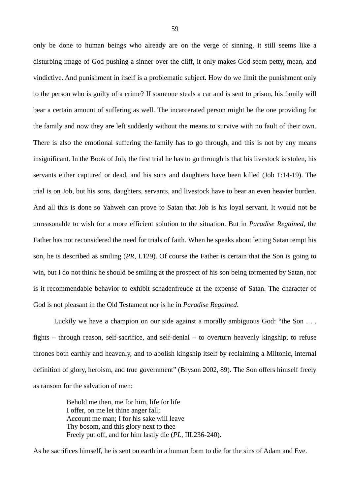only be done to human beings who already are on the verge of sinning, it still seems like a disturbing image of God pushing a sinner over the cliff, it only makes God seem petty, mean, and vindictive. And punishment in itself is a problematic subject. How do we limit the punishment only to the person who is guilty of a crime? If someone steals a car and is sent to prison, his family will bear a certain amount of suffering as well. The incarcerated person might be the one providing for the family and now they are left suddenly without the means to survive with no fault of their own. There is also the emotional suffering the family has to go through, and this is not by any means insignificant. In the Book of Job, the first trial he has to go through is that his livestock is stolen, his servants either captured or dead, and his sons and daughters have been killed (Job 1:14-19). The trial is on Job, but his sons, daughters, servants, and livestock have to bear an even heavier burden. And all this is done so Yahweh can prove to Satan that Job is his loyal servant. It would not be unreasonable to wish for a more efficient solution to the situation. But in *Paradise Regained,* the Father has not reconsidered the need for trials of faith. When he speaks about letting Satan tempt his son, he is described as smiling (*PR*, I.129). Of course the Father is certain that the Son is going to win, but I do not think he should be smiling at the prospect of his son being tormented by Satan, nor is it recommendable behavior to exhibit schadenfreude at the expense of Satan. The character of God is not pleasant in the Old Testament nor is he in *Paradise Regained*.

Luckily we have a champion on our side against a morally ambiguous God: "the Son . . . fights – through reason, self-sacrifice, and self-denial – to overturn heavenly kingship, to refuse thrones both earthly and heavenly, and to abolish kingship itself by reclaiming a Miltonic, internal definition of glory, heroism, and true government" (Bryson 2002, 89). The Son offers himself freely as ransom for the salvation of men:

> Behold me then, me for him, life for life I offer, on me let thine anger fall; Account me man; I for his sake will leave Thy bosom, and this glory next to thee Freely put off, and for him lastly die (*PL*, III.236-240).

As he sacrifices himself, he is sent on earth in a human form to die for the sins of Adam and Eve.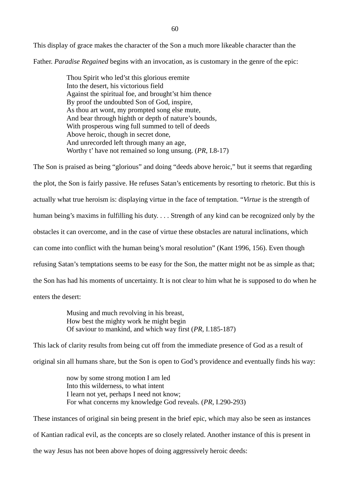This display of grace makes the character of the Son a much more likeable character than the Father. *Paradise Regained* begins with an invocation, as is customary in the genre of the epic:

> Thou Spirit who led'st this glorious eremite Into the desert, his victorious field Against the spiritual foe, and brought'st him thence By proof the undoubted Son of God, inspire, As thou art wont, my prompted song else mute, And bear through highth or depth of nature's bounds, With prosperous wing full summed to tell of deeds Above heroic, though in secret done, And unrecorded left through many an age, Worthy t' have not remained so long unsung. (*PR*, I.8-17)

The Son is praised as being "glorious" and doing "deeds above heroic," but it seems that regarding the plot, the Son is fairly passive. He refuses Satan's enticements by resorting to rhetoric. But this is actually what true heroism is: displaying virtue in the face of temptation. "*Virtue* is the strength of human being's maxims in fulfilling his duty. . . . Strength of any kind can be recognized only by the obstacles it can overcome, and in the case of virtue these obstacles are natural inclinations, which can come into conflict with the human being's moral resolution" (Kant 1996, 156). Even though refusing Satan's temptations seems to be easy for the Son, the matter might not be as simple as that; the Son has had his moments of uncertainty. It is not clear to him what he is supposed to do when he enters the desert:

> Musing and much revolving in his breast, How best the mighty work he might begin Of saviour to mankind, and which way first (*PR*, I.185-187)

This lack of clarity results from being cut off from the immediate presence of God as a result of original sin all humans share, but the Son is open to God's providence and eventually finds his way:

> now by some strong motion I am led Into this wilderness, to what intent I learn not yet, perhaps I need not know; For what concerns my knowledge God reveals. (*PR*, I.290-293)

These instances of original sin being present in the brief epic, which may also be seen as instances of Kantian radical evil, as the concepts are so closely related. Another instance of this is present in the way Jesus has not been above hopes of doing aggressively heroic deeds: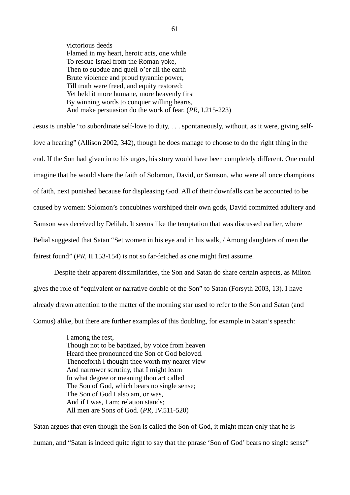victorious deeds Flamed in my heart, heroic acts, one while To rescue Israel from the Roman yoke, Then to subdue and quell o'er all the earth Brute violence and proud tyrannic power, Till truth were freed, and equity restored: Yet held it more humane, more heavenly first By winning words to conquer willing hearts, And make persuasion do the work of fear. (*PR*, I.215-223)

Jesus is unable "to subordinate self-love to duty, . . . spontaneously, without, as it were, giving selflove a hearing" (Allison 2002, 342), though he does manage to choose to do the right thing in the end. If the Son had given in to his urges, his story would have been completely different. One could imagine that he would share the faith of Solomon, David, or Samson, who were all once champions of faith, next punished because for displeasing God. All of their downfalls can be accounted to be caused by women: Solomon's concubines worshiped their own gods, David committed adultery and Samson was deceived by Delilah. It seems like the temptation that was discussed earlier, where Belial suggested that Satan "Set women in his eye and in his walk, / Among daughters of men the fairest found" (*PR*, II.153-154) is not so far-fetched as one might first assume.

Despite their apparent dissimilarities, the Son and Satan do share certain aspects, as Milton gives the role of "equivalent or narrative double of the Son" to Satan (Forsyth 2003, 13). I have already drawn attention to the matter of the morning star used to refer to the Son and Satan (and Comus) alike, but there are further examples of this doubling, for example in Satan's speech:

> I among the rest, Though not to be baptized, by voice from heaven Heard thee pronounced the Son of God beloved. Thenceforth I thought thee worth my nearer view And narrower scrutiny, that I might learn In what degree or meaning thou art called The Son of God, which bears no single sense; The Son of God I also am, or was, And if I was, I am; relation stands; All men are Sons of God. (*PR*, IV.511-520)

Satan argues that even though the Son is called the Son of God, it might mean only that he is human, and "Satan is indeed quite right to say that the phrase 'Son of God' bears no single sense"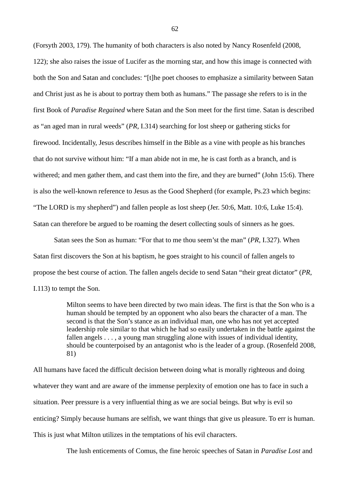(Forsyth 2003, 179). The humanity of both characters is also noted by Nancy Rosenfeld (2008, 122); she also raises the issue of Lucifer as the morning star, and how this image is connected with both the Son and Satan and concludes: "[t]he poet chooses to emphasize a similarity between Satan and Christ just as he is about to portray them both as humans." The passage she refers to is in the first Book of *Paradise Regained* where Satan and the Son meet for the first time. Satan is described as "an aged man in rural weeds" (*PR*, I.314) searching for lost sheep or gathering sticks for firewood. Incidentally, Jesus describes himself in the Bible as a vine with people as his branches that do not survive without him: "If a man abide not in me, he is cast forth as a branch, and is withered; and men gather them, and cast them into the fire, and they are burned" (John 15:6). There is also the well-known reference to Jesus as the Good Shepherd (for example, Ps.23 which begins: "The LORD is my shepherd") and fallen people as lost sheep (Jer. 50:6, Matt. 10:6, Luke 15:4). Satan can therefore be argued to be roaming the desert collecting souls of sinners as he goes.

Satan sees the Son as human: "For that to me thou seem'st the man" (*PR*, I.327). When Satan first discovers the Son at his baptism, he goes straight to his council of fallen angels to propose the best course of action. The fallen angels decide to send Satan "their great dictator" (*PR*, I.113) to tempt the Son.

> Milton seems to have been directed by two main ideas. The first is that the Son who is a human should be tempted by an opponent who also bears the character of a man. The second is that the Son's stance as an individual man, one who has not yet accepted leadership role similar to that which he had so easily undertaken in the battle against the fallen angels . . . , a young man struggling alone with issues of individual identity, should be counterpoised by an antagonist who is the leader of a group. (Rosenfeld 2008, 81)

All humans have faced the difficult decision between doing what is morally righteous and doing whatever they want and are aware of the immense perplexity of emotion one has to face in such a situation. Peer pressure is a very influential thing as we are social beings. But why is evil so enticing? Simply because humans are selfish, we want things that give us pleasure. To err is human. This is just what Milton utilizes in the temptations of his evil characters.

The lush enticements of Comus, the fine heroic speeches of Satan in *Paradise Lost* and

62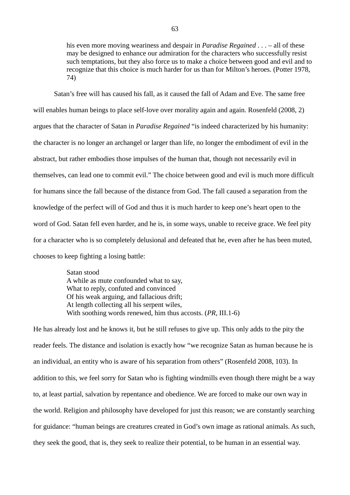his even more moving weariness and despair in *Paradise Regained* . . . – all of these may be designed to enhance our admiration for the characters who successfully resist such temptations, but they also force us to make a choice between good and evil and to recognize that this choice is much harder for us than for Milton's heroes. (Potter 1978, 74)

Satan's free will has caused his fall, as it caused the fall of Adam and Eve. The same free will enables human beings to place self-love over morality again and again. Rosenfeld (2008, 2) argues that the character of Satan in *Paradise Regained* "is indeed characterized by his humanity: the character is no longer an archangel or larger than life, no longer the embodiment of evil in the abstract, but rather embodies those impulses of the human that, though not necessarily evil in themselves, can lead one to commit evil." The choice between good and evil is much more difficult for humans since the fall because of the distance from God. The fall caused a separation from the knowledge of the perfect will of God and thus it is much harder to keep one's heart open to the word of God. Satan fell even harder, and he is, in some ways, unable to receive grace. We feel pity for a character who is so completely delusional and defeated that he, even after he has been muted, chooses to keep fighting a losing battle:

> Satan stood A while as mute confounded what to say, What to reply, confuted and convinced Of his weak arguing, and fallacious drift; At length collecting all his serpent wiles, With soothing words renewed, him thus accosts. (*PR*, III.1-6)

He has already lost and he knows it, but he still refuses to give up. This only adds to the pity the reader feels. The distance and isolation is exactly how "we recognize Satan as human because he is an individual, an entity who is aware of his separation from others" (Rosenfeld 2008, 103). In addition to this, we feel sorry for Satan who is fighting windmills even though there might be a way to, at least partial, salvation by repentance and obedience. We are forced to make our own way in the world. Religion and philosophy have developed for just this reason; we are constantly searching for guidance: "human beings are creatures created in God's own image as rational animals. As such, they seek the good, that is, they seek to realize their potential, to be human in an essential way.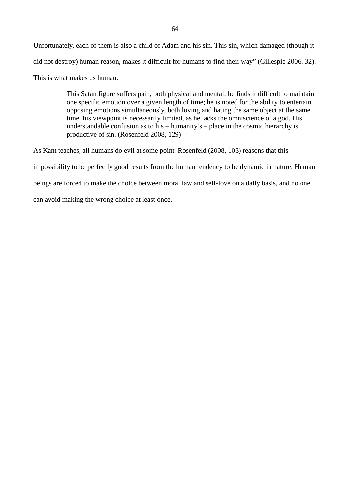Unfortunately, each of them is also a child of Adam and his sin. This sin, which damaged (though it did not destroy) human reason, makes it difficult for humans to find their way" (Gillespie 2006, 32).

This is what makes us human.

This Satan figure suffers pain, both physical and mental; he finds it difficult to maintain one specific emotion over a given length of time; he is noted for the ability to entertain opposing emotions simultaneously, both loving and hating the same object at the same time; his viewpoint is necessarily limited, as he lacks the omniscience of a god. His understandable confusion as to his – humanity's – place in the cosmic hierarchy is productive of sin. (Rosenfeld 2008, 129)

As Kant teaches, all humans do evil at some point. Rosenfeld (2008, 103) reasons that this impossibility to be perfectly good results from the human tendency to be dynamic in nature. Human beings are forced to make the choice between moral law and self-love on a daily basis, and no one can avoid making the wrong choice at least once.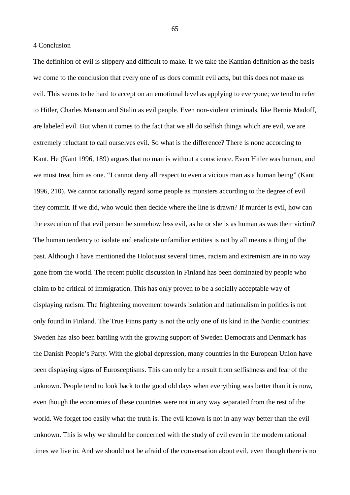4 Conclusion

The definition of evil is slippery and difficult to make. If we take the Kantian definition as the basis we come to the conclusion that every one of us does commit evil acts, but this does not make us evil. This seems to be hard to accept on an emotional level as applying to everyone; we tend to refer to Hitler, Charles Manson and Stalin as evil people. Even non-violent criminals, like Bernie Madoff, are labeled evil. But when it comes to the fact that we all do selfish things which are evil, we are extremely reluctant to call ourselves evil. So what is the difference? There is none according to Kant. He (Kant 1996, 189) argues that no man is without a conscience. Even Hitler was human, and we must treat him as one. "I cannot deny all respect to even a vicious man as a human being" (Kant 1996, 210). We cannot rationally regard some people as monsters according to the degree of evil they commit. If we did, who would then decide where the line is drawn? If murder is evil, how can the execution of that evil person be somehow less evil, as he or she is as human as was their victim? The human tendency to isolate and eradicate unfamiliar entities is not by all means a thing of the past. Although I have mentioned the Holocaust several times, racism and extremism are in no way gone from the world. The recent public discussion in Finland has been dominated by people who claim to be critical of immigration. This has only proven to be a socially acceptable way of displaying racism. The frightening movement towards isolation and nationalism in politics is not only found in Finland. The True Finns party is not the only one of its kind in the Nordic countries: Sweden has also been battling with the growing support of Sweden Democrats and Denmark has the Danish People's Party. With the global depression, many countries in the European Union have been displaying signs of Eurosceptisms. This can only be a result from selfishness and fear of the unknown. People tend to look back to the good old days when everything was better than it is now, even though the economies of these countries were not in any way separated from the rest of the world. We forget too easily what the truth is. The evil known is not in any way better than the evil unknown. This is why we should be concerned with the study of evil even in the modern rational times we live in. And we should not be afraid of the conversation about evil, even though there is no

65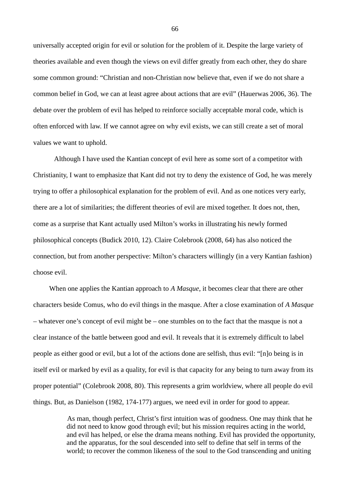universally accepted origin for evil or solution for the problem of it. Despite the large variety of theories available and even though the views on evil differ greatly from each other, they do share some common ground: "Christian and non-Christian now believe that, even if we do not share a common belief in God, we can at least agree about actions that are evil" (Hauerwas 2006, 36). The debate over the problem of evil has helped to reinforce socially acceptable moral code, which is often enforced with law. If we cannot agree on why evil exists, we can still create a set of moral values we want to uphold.

Although I have used the Kantian concept of evil here as some sort of a competitor with Christianity, I want to emphasize that Kant did not try to deny the existence of God, he was merely trying to offer a philosophical explanation for the problem of evil. And as one notices very early, there are a lot of similarities; the different theories of evil are mixed together. It does not, then, come as a surprise that Kant actually used Milton's works in illustrating his newly formed philosophical concepts (Budick 2010, 12). Claire Colebrook (2008, 64) has also noticed the connection, but from another perspective: Milton's characters willingly (in a very Kantian fashion) choose evil.

When one applies the Kantian approach to *A Masque*, it becomes clear that there are other characters beside Comus, who do evil things in the masque. After a close examination of *A Masque* – whatever one's concept of evil might be – one stumbles on to the fact that the masque is not a clear instance of the battle between good and evil. It reveals that it is extremely difficult to label people as either good or evil, but a lot of the actions done are selfish, thus evil: "[n]o being is in itself evil or marked by evil as a quality, for evil is that capacity for any being to turn away from its proper potential" (Colebrook 2008, 80). This represents a grim worldview, where all people do evil things. But, as Danielson (1982, 174-177) argues, we need evil in order for good to appear.

> As man, though perfect, Christ's first intuition was of goodness. One may think that he did not need to know good through evil; but his mission requires acting in the world, and evil has helped, or else the drama means nothing. Evil has provided the opportunity, and the apparatus, for the soul descended into self to define that self in terms of the world; to recover the common likeness of the soul to the God transcending and uniting

66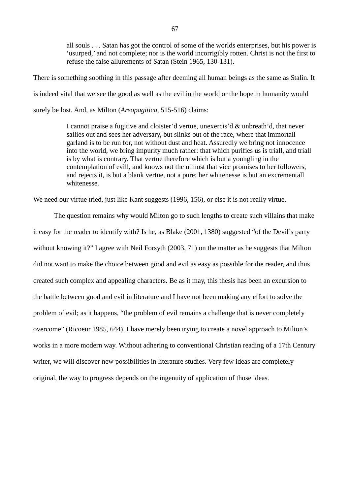all souls . . . Satan has got the control of some of the worlds enterprises, but his power is 'usurped,' and not complete; nor is the world incorrigibly rotten. Christ is not the first to refuse the false allurements of Satan (Stein 1965, 130-131).

There is something soothing in this passage after deeming all human beings as the same as Stalin. It is indeed vital that we see the good as well as the evil in the world or the hope in humanity would surely be lost. And, as Milton (*Areopagitica*, 515-516) claims:

> I cannot praise a fugitive and cloister'd vertue, unexercis'd & unbreath'd, that never sallies out and sees her adversary, but slinks out of the race, where that immortall garland is to be run for, not without dust and heat. Assuredly we bring not innocence into the world, we bring impurity much rather: that which purifies us is triall, and triall is by what is contrary. That vertue therefore which is but a youngling in the contemplation of evill, and knows not the utmost that vice promises to her followers, and rejects it, is but a blank vertue, not a pure; her whitenesse is but an excrementall whitenesse.

We need our virtue tried, just like Kant suggests (1996, 156), or else it is not really virtue.

The question remains why would Milton go to such lengths to create such villains that make it easy for the reader to identify with? Is he, as Blake (2001, 1380) suggested "of the Devil's party without knowing it?" I agree with Neil Forsyth (2003, 71) on the matter as he suggests that Milton did not want to make the choice between good and evil as easy as possible for the reader, and thus created such complex and appealing characters. Be as it may, this thesis has been an excursion to the battle between good and evil in literature and I have not been making any effort to solve the problem of evil; as it happens, "the problem of evil remains a challenge that is never completely overcome" (Ricoeur 1985, 644). I have merely been trying to create a novel approach to Milton's works in a more modern way. Without adhering to conventional Christian reading of a 17th Century writer, we will discover new possibilities in literature studies. Very few ideas are completely original, the way to progress depends on the ingenuity of application of those ideas.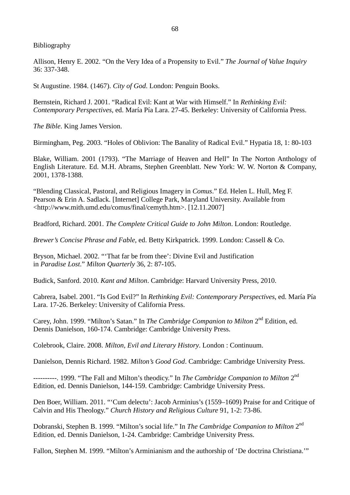Bibliography

Allison, Henry E. 2002. "On the Very Idea of a Propensity to Evil."*The Journal of Value Inquiry* 36: 337-348.

St Augustine. 1984. (1467). *City of God*. London: Penguin Books.

Bernstein, Richard J. 2001. "Radical Evil: Kant at War with Himself." In *Rethinking Evil: Contemporary Perspectives*, ed. María Pía Lara. 27-45. Berkeley: University of California Press.

*The Bible*. King James Version.

Birmingham, Peg. 2003. "Holes of Oblivion: The Banality of Radical Evil." Hypatia 18, 1: 80-103

Blake, William. 2001 (1793). "The Marriage of Heaven and Hell" In The Norton Anthology of English Literature. Ed. M.H. Abrams, Stephen Greenblatt. New York: W. W. Norton & Company, 2001, 1378-1388.

"Blending Classical, Pastoral, and Religious Imagery in *Comus*." Ed. Helen L. Hull, Meg F. Pearson & Erin A. Sadlack. [Internet] College Park, Maryland University. Available from [<http://www.mith.umd.edu/comus/final/cemyth.htm](http://www.mith.umd.edu/comus/final/cemyth.htm)>. [12.11.2007]

Bradford, Richard. 2001. *The Complete Critical Guide to John Milton*. London: Routledge.

*Brewer's Concise Phrase and Fable*, ed. Betty Kirkpatrick. 1999. London: Cassell & Co.

Bryson, Michael. 2002. "'That far be from thee': Divine Evil and Justification in *Paradise Lost*."*Milton Quarterly* 36, 2: 87-105.

Budick, Sanford. 2010. *Kant and Milton*. Cambridge: Harvard University Press, 2010.

Cabrera, Isabel. 2001. "Is God Evil?" In *Rethinking Evil: Contemporary Perspectives*, ed. María Pía Lara. 17-26. Berkeley: University of California Press.

Carey, John. 1999. "Milton's Satan." In *The Cambridge Companion to Milton* 2<sup>nd</sup> Edition, ed. Dennis Danielson, 160-174. Cambridge: Cambridge University Press.

Colebrook, Claire. 2008. *Milton, Evil and Literary History*. London : Continuum.

Danielson, Dennis Richard. 1982. *Milton's Good God*. Cambridge: Cambridge University Press.

---------. 1999. "The Fall and Milton's theodicy." In *The Cambridge Companion to Milton* 2<sup>nd</sup> Edition, ed. Dennis Danielson, 144-159. Cambridge: Cambridge University Press.

Den Boer, William. 2011. "'Cum delectu': Jacob Arminius's (1559–1609) Praise for and Critique of Calvin and His Theology."*Church History and Religious Culture* 91, 1-2: 73-86.

Dobranski, Stephen B. 1999. "Milton's social life." In *The Cambridge Companion to Milton* 2<sup>nd</sup> Edition, ed. Dennis Danielson, 1-24. Cambridge: Cambridge University Press.

Fallon, Stephen M. 1999. "Milton's Arminianism and the authorship of 'De doctrina Christiana.'"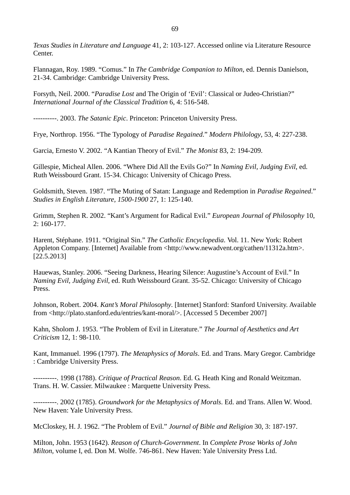*Texas Studies in Literature and Language* 41, 2: 103-127. Accessed online via Literature Resource **Center** 

Flannagan, Roy. 1989. "Comus." In *The Cambridge Companion to Milton*, ed. Dennis Danielson, 21-34. Cambridge: Cambridge University Press.

Forsyth, Neil. 2000. "*Paradise Lost* and The Origin of 'Evil': Classical or Judeo-Christian?" *International Journal of the Classical Tradition* 6, 4: 516-548.

----------. 2003. *The Satanic Epic*. Princeton: Princeton University Press.

Frye, Northrop. 1956. "The Typology of *Paradise Regained*."*Modern Philology*, 53, 4: 227-238.

Garcia, Ernesto V. 2002. "A Kantian Theory of Evil."*The Monist* 83, 2: 194-209.

Gillespie, Micheal Allen. 2006. "Where Did All the Evils Go?" In *Naming Evil, Judging Evil*, ed. Ruth Weissbourd Grant. 15-34. Chicago: University of Chicago Press.

Goldsmith, Steven. 1987. "The Muting of Satan: Language and Redemption in *Paradise Regained*." *Studies in English Literature, 1500-1900* 27, 1: 125-140.

Grimm, Stephen R. 2002. "Kant's Argument for Radical Evil."*European Journal of Philosophy* 10, 2: 160-177.

Harent, Stéphane. 1911. "Original Sin."*The Catholic Encyclopedia*. Vol. 11. New York: Robert Appleton Company. [Internet] Available from [<http://www.newadvent.org/cathen/11312a.htm>](http://www.newadvent.org/cathen/11312a.htm). [22.5.2013]

Hauewas, Stanley. 2006. "Seeing Darkness, Hearing Silence: Augustine's Account of Evil." In *Naming Evil, Judging Evil*, ed. Ruth Weissbourd Grant. 35-52. Chicago: University of Chicago Press.

Johnson, Robert. 2004. *Kant's Moral Philosophy*. [Internet] Stanford: Stanford University. Available from <[http://plato.stanford.edu/entries/kant-moral/>](http://plato.stanford.edu/entries/kant-moral/). [Accessed 5 December 2007]

Kahn, Sholom J. 1953. "The Problem of Evil in Literature."*The Journal of Aesthetics and Art Criticism* 12, 1: 98-110.

Kant, Immanuel. 1996 (1797). *The Metaphysics of Morals*. Ed. and Trans. Mary Gregor. Cambridge : Cambridge University Press.

----------. 1998 (1788). *Critique of Practical Reason*. Ed. G. Heath King and Ronald Weitzman. Trans. H. W. Cassier. Milwaukee : Marquette University Press.

----------. 2002 (1785). *Groundwork for the Metaphysics of Morals*. Ed. and Trans. Allen W. Wood. New Haven: Yale University Press.

McCloskey, H. J. 1962. "The Problem of Evil."*Journal of Bible and Religion* 30, 3: 187-197.

Milton, John. 1953 (1642). *Reason of Church-Government*. In *Complete Prose Works of John Milton*, volume I, ed. Don M. Wolfe. 746-861. New Haven: Yale University Press Ltd.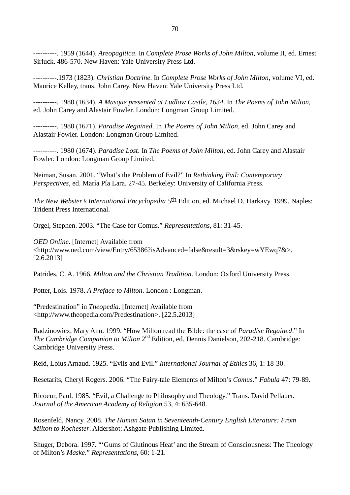70

----------. 1959 (1644). *Areopagitica*. In *Complete Prose Works of John Milton*, volume II, ed. Ernest Sirluck. 486-570. New Haven: Yale University Press Ltd.

----------.1973 (1823). *Christian Doctrine*. In *Complete Prose Works of John Milton*, volume VI, ed. Maurice Kelley, trans. John Carey. New Haven: Yale University Press Ltd.

----------. 1980 (1634). *A Masque presented at Ludlow Castle, 1634*. In *The Poems of John Milton*, ed. John Carey and Alastair Fowler. London: Longman Group Limited.

----------. 1980 (1671). *Paradise Regained*. In *The Poems of John Milton*, ed. John Carey and Alastair Fowler. London: Longman Group Limited.

----------. 1980 (1674). *Paradise Lost*. In *The Poems of John Milton*, ed. John Carey and Alastair Fowler. London: Longman Group Limited.

Neiman, Susan. 2001. "What's the Problem of Evil?" In *Rethinking Evil: Contemporary Perspectives*, ed. María Pía Lara. 27-45. Berkeley: University of California Press.

*The New Webster's International Encyclopedia* 5th Edition, ed. Michael D. Harkavy. 1999. Naples: Trident Press International.

Orgel, Stephen. 2003. "The Case for Comus."*Representations*, 81: 31-45.

*OED Online*. [Internet] Available from [<http://www.oed.com/view/Entry/65386?isAdvanced=false&result=3&rskey=wYEwq7&>](http://www.oed.com/view/Entry/65386?isAdvanced=false&result=3&rskey=wYEwq7&). [2.6.2013]

Patrides, C. A. 1966. *Milton and the Christian Tradition*. London: Oxford University Press.

Potter, Lois. 1978. *A Preface to Milton*. London : Longman.

"Predestination" in *Theopedia*. [Internet] Available from [<http://www.theopedia.com/Predestination>](http://www.theopedia.com/Predestination). [22.5.2013]

Radzinowicz, Mary Ann. 1999. "How Milton read the Bible: the case of *Paradise Regained*." In The Cambridge Companion to Milton 2<sup>nd</sup> Edition, ed. Dennis Danielson, 202-218. Cambridge: Cambridge University Press.

Reid, Loius Arnaud. 1925. "Evils and Evil."*International Journal of Ethics* 36, 1: 18-30.

Resetarits, Cheryl Rogers. 2006. "The Fairy-tale Elements of Milton's *Comus*."*Fabula* 47: 79-89.

Ricoeur, Paul. 1985. "Evil, a Challenge to Philosophy and Theology." Trans. David Pellauer. *Journal of the American Academy of Religion* 53, 4: 635-648.

Rosenfeld, Nancy. 2008. *The Human Satan in Seventeenth-Century English Literature: From Milton to Rochester*. Aldershot: Ashgate Publishing Limited.

Shuger, Debora. 1997. "'Gums of Glutinous Heat' and the Stream of Consciousness: The Theology of Milton's *Maske*."*Representations*, 60: 1-21.